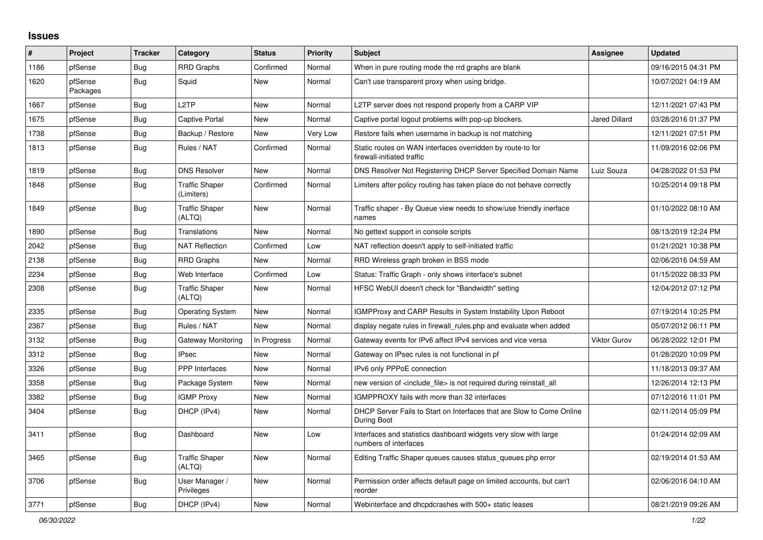## **Issues**

| #    | Project             | <b>Tracker</b> | Category                            | <b>Status</b> | Priority | <b>Subject</b>                                                                            | Assignee             | <b>Updated</b>      |
|------|---------------------|----------------|-------------------------------------|---------------|----------|-------------------------------------------------------------------------------------------|----------------------|---------------------|
| 1186 | pfSense             | Bug            | <b>RRD Graphs</b>                   | Confirmed     | Normal   | When in pure routing mode the rrd graphs are blank                                        |                      | 09/16/2015 04:31 PM |
| 1620 | pfSense<br>Packages | <b>Bug</b>     | Squid                               | New           | Normal   | Can't use transparent proxy when using bridge.                                            |                      | 10/07/2021 04:19 AM |
| 1667 | pfSense             | <b>Bug</b>     | L <sub>2</sub> TP                   | New           | Normal   | L2TP server does not respond properly from a CARP VIP                                     |                      | 12/11/2021 07:43 PM |
| 1675 | pfSense             | <b>Bug</b>     | Captive Portal                      | New           | Normal   | Captive portal logout problems with pop-up blockers.                                      | <b>Jared Dillard</b> | 03/28/2016 01:37 PM |
| 1738 | pfSense             | <b>Bug</b>     | Backup / Restore                    | New           | Very Low | Restore fails when username in backup is not matching                                     |                      | 12/11/2021 07:51 PM |
| 1813 | pfSense             | <b>Bug</b>     | Rules / NAT                         | Confirmed     | Normal   | Static routes on WAN interfaces overridden by route-to for<br>firewall-initiated traffic  |                      | 11/09/2016 02:06 PM |
| 1819 | pfSense             | Bug            | <b>DNS Resolver</b>                 | New           | Normal   | DNS Resolver Not Registering DHCP Server Specified Domain Name                            | Luiz Souza           | 04/28/2022 01:53 PM |
| 1848 | pfSense             | <b>Bug</b>     | <b>Traffic Shaper</b><br>(Limiters) | Confirmed     | Normal   | Limiters after policy routing has taken place do not behave correctly                     |                      | 10/25/2014 09:18 PM |
| 1849 | pfSense             | <b>Bug</b>     | <b>Traffic Shaper</b><br>(ALTQ)     | New           | Normal   | Traffic shaper - By Queue view needs to show/use friendly inerface<br>names               |                      | 01/10/2022 08:10 AM |
| 1890 | pfSense             | <b>Bug</b>     | <b>Translations</b>                 | New           | Normal   | No gettext support in console scripts                                                     |                      | 08/13/2019 12:24 PM |
| 2042 | pfSense             | <b>Bug</b>     | <b>NAT Reflection</b>               | Confirmed     | Low      | NAT reflection doesn't apply to self-initiated traffic                                    |                      | 01/21/2021 10:38 PM |
| 2138 | pfSense             | <b>Bug</b>     | <b>RRD Graphs</b>                   | <b>New</b>    | Normal   | RRD Wireless graph broken in BSS mode                                                     |                      | 02/06/2016 04:59 AM |
| 2234 | pfSense             | <b>Bug</b>     | Web Interface                       | Confirmed     | Low      | Status: Traffic Graph - only shows interface's subnet                                     |                      | 01/15/2022 08:33 PM |
| 2308 | pfSense             | Bug            | <b>Traffic Shaper</b><br>(ALTQ)     | New           | Normal   | HFSC WebUI doesn't check for "Bandwidth" setting                                          |                      | 12/04/2012 07:12 PM |
| 2335 | pfSense             | <b>Bug</b>     | <b>Operating System</b>             | New           | Normal   | <b>IGMPProxy and CARP Results in System Instability Upon Reboot</b>                       |                      | 07/19/2014 10:25 PM |
| 2367 | pfSense             | <b>Bug</b>     | Rules / NAT                         | New           | Normal   | display negate rules in firewall rules.php and evaluate when added                        |                      | 05/07/2012 06:11 PM |
| 3132 | pfSense             | <b>Bug</b>     | Gateway Monitoring                  | In Progress   | Normal   | Gateway events for IPv6 affect IPv4 services and vice versa                               | <b>Viktor Gurov</b>  | 06/28/2022 12:01 PM |
| 3312 | pfSense             | Bug            | <b>IPsec</b>                        | <b>New</b>    | Normal   | Gateway on IPsec rules is not functional in pf                                            |                      | 01/28/2020 10:09 PM |
| 3326 | pfSense             | Bug            | PPP Interfaces                      | New           | Normal   | IPv6 only PPPoE connection                                                                |                      | 11/18/2013 09:37 AM |
| 3358 | pfSense             | Bug            | Package System                      | New           | Normal   | new version of <include file=""> is not required during reinstall all</include>           |                      | 12/26/2014 12:13 PM |
| 3382 | pfSense             | <b>Bug</b>     | <b>IGMP Proxy</b>                   | New           | Normal   | IGMPPROXY fails with more than 32 interfaces                                              |                      | 07/12/2016 11:01 PM |
| 3404 | pfSense             | <b>Bug</b>     | DHCP (IPv4)                         | New           | Normal   | DHCP Server Fails to Start on Interfaces that are Slow to Come Online<br>During Boot      |                      | 02/11/2014 05:09 PM |
| 3411 | pfSense             | <b>Bug</b>     | Dashboard                           | New           | Low      | Interfaces and statistics dashboard widgets very slow with large<br>numbers of interfaces |                      | 01/24/2014 02:09 AM |
| 3465 | pfSense             | <b>Bug</b>     | <b>Traffic Shaper</b><br>(ALTQ)     | New           | Normal   | Editing Traffic Shaper queues causes status_queues.php error                              |                      | 02/19/2014 01:53 AM |
| 3706 | pfSense             | <b>Bug</b>     | User Manager /<br>Privileges        | New           | Normal   | Permission order affects default page on limited accounts, but can't<br>reorder           |                      | 02/06/2016 04:10 AM |
| 3771 | pfSense             | Bug            | DHCP (IPv4)                         | New           | Normal   | Webinterface and dhcpdcrashes with 500+ static leases                                     |                      | 08/21/2019 09:26 AM |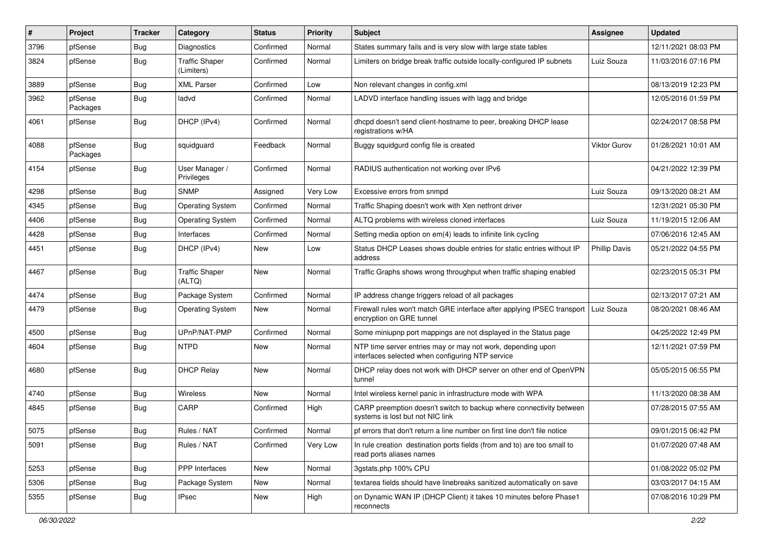| ∦    | Project             | <b>Tracker</b> | Category                            | <b>Status</b> | <b>Priority</b> | <b>Subject</b>                                                                                                  | <b>Assignee</b>      | <b>Updated</b>      |
|------|---------------------|----------------|-------------------------------------|---------------|-----------------|-----------------------------------------------------------------------------------------------------------------|----------------------|---------------------|
| 3796 | pfSense             | <b>Bug</b>     | Diagnostics                         | Confirmed     | Normal          | States summary fails and is very slow with large state tables                                                   |                      | 12/11/2021 08:03 PM |
| 3824 | pfSense             | Bug            | <b>Traffic Shaper</b><br>(Limiters) | Confirmed     | Normal          | Limiters on bridge break traffic outside locally-configured IP subnets                                          | Luiz Souza           | 11/03/2016 07:16 PM |
| 3889 | pfSense             | Bug            | <b>XML Parser</b>                   | Confirmed     | Low             | Non relevant changes in config.xml                                                                              |                      | 08/13/2019 12:23 PM |
| 3962 | pfSense<br>Packages | Bug            | ladvd                               | Confirmed     | Normal          | LADVD interface handling issues with lagg and bridge                                                            |                      | 12/05/2016 01:59 PM |
| 4061 | pfSense             | Bug            | DHCP (IPv4)                         | Confirmed     | Normal          | dhcpd doesn't send client-hostname to peer, breaking DHCP lease<br>registrations w/HA                           |                      | 02/24/2017 08:58 PM |
| 4088 | pfSense<br>Packages | <b>Bug</b>     | squidguard                          | Feedback      | Normal          | Buggy squidgurd config file is created                                                                          | Viktor Gurov         | 01/28/2021 10:01 AM |
| 4154 | pfSense             | Bug            | User Manager /<br>Privileges        | Confirmed     | Normal          | RADIUS authentication not working over IPv6                                                                     |                      | 04/21/2022 12:39 PM |
| 4298 | pfSense             | <b>Bug</b>     | <b>SNMP</b>                         | Assigned      | Very Low        | Excessive errors from snmpd                                                                                     | Luiz Souza           | 09/13/2020 08:21 AM |
| 4345 | pfSense             | Bug            | <b>Operating System</b>             | Confirmed     | Normal          | Traffic Shaping doesn't work with Xen netfront driver                                                           |                      | 12/31/2021 05:30 PM |
| 4406 | pfSense             | <b>Bug</b>     | <b>Operating System</b>             | Confirmed     | Normal          | ALTQ problems with wireless cloned interfaces                                                                   | Luiz Souza           | 11/19/2015 12:06 AM |
| 4428 | pfSense             | Bug            | Interfaces                          | Confirmed     | Normal          | Setting media option on em(4) leads to infinite link cycling                                                    |                      | 07/06/2016 12:45 AM |
| 4451 | pfSense             | Bug            | DHCP (IPv4)                         | New           | Low             | Status DHCP Leases shows double entries for static entries without IP<br>address                                | <b>Phillip Davis</b> | 05/21/2022 04:55 PM |
| 4467 | pfSense             | Bug            | <b>Traffic Shaper</b><br>(ALTQ)     | New           | Normal          | Traffic Graphs shows wrong throughput when traffic shaping enabled                                              |                      | 02/23/2015 05:31 PM |
| 4474 | pfSense             | Bug            | Package System                      | Confirmed     | Normal          | IP address change triggers reload of all packages                                                               |                      | 02/13/2017 07:21 AM |
| 4479 | pfSense             | <b>Bug</b>     | <b>Operating System</b>             | New           | Normal          | Firewall rules won't match GRE interface after applying IPSEC transport<br>encryption on GRE tunnel             | Luiz Souza           | 08/20/2021 08:46 AM |
| 4500 | pfSense             | Bug            | UPnP/NAT-PMP                        | Confirmed     | Normal          | Some miniupnp port mappings are not displayed in the Status page                                                |                      | 04/25/2022 12:49 PM |
| 4604 | pfSense             | Bug            | <b>NTPD</b>                         | New           | Normal          | NTP time server entries may or may not work, depending upon<br>interfaces selected when configuring NTP service |                      | 12/11/2021 07:59 PM |
| 4680 | pfSense             | Bug            | <b>DHCP Relay</b>                   | New           | Normal          | DHCP relay does not work with DHCP server on other end of OpenVPN<br>tunnel                                     |                      | 05/05/2015 06:55 PM |
| 4740 | pfSense             | <b>Bug</b>     | Wireless                            | New           | Normal          | Intel wireless kernel panic in infrastructure mode with WPA                                                     |                      | 11/13/2020 08:38 AM |
| 4845 | pfSense             | Bug            | CARP                                | Confirmed     | High            | CARP preemption doesn't switch to backup where connectivity between<br>systems is lost but not NIC link         |                      | 07/28/2015 07:55 AM |
| 5075 | pfSense             | <b>Bug</b>     | Rules / NAT                         | Confirmed     | Normal          | pf errors that don't return a line number on first line don't file notice                                       |                      | 09/01/2015 06:42 PM |
| 5091 | pfSense             | Bug            | Rules / NAT                         | Confirmed     | Very Low        | In rule creation destination ports fields (from and to) are too small to<br>read ports aliases names            |                      | 01/07/2020 07:48 AM |
| 5253 | pfSense             | <b>Bug</b>     | PPP Interfaces                      | New           | Normal          | 3gstats.php 100% CPU                                                                                            |                      | 01/08/2022 05:02 PM |
| 5306 | pfSense             | <b>Bug</b>     | Package System                      | New           | Normal          | textarea fields should have linebreaks sanitized automatically on save                                          |                      | 03/03/2017 04:15 AM |
| 5355 | pfSense             | <b>Bug</b>     | <b>IPsec</b>                        | New           | High            | on Dynamic WAN IP (DHCP Client) it takes 10 minutes before Phase1<br>reconnects                                 |                      | 07/08/2016 10:29 PM |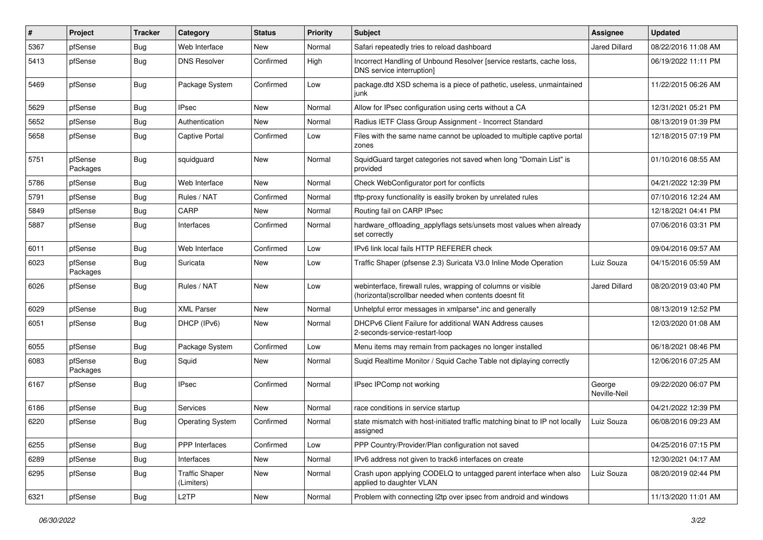| #    | Project             | <b>Tracker</b> | Category                            | <b>Status</b> | <b>Priority</b> | Subject                                                                                                               | Assignee               | <b>Updated</b>      |
|------|---------------------|----------------|-------------------------------------|---------------|-----------------|-----------------------------------------------------------------------------------------------------------------------|------------------------|---------------------|
| 5367 | pfSense             | Bug            | Web Interface                       | New           | Normal          | Safari repeatedly tries to reload dashboard                                                                           | <b>Jared Dillard</b>   | 08/22/2016 11:08 AM |
| 5413 | pfSense             | Bug            | <b>DNS Resolver</b>                 | Confirmed     | High            | Incorrect Handling of Unbound Resolver [service restarts, cache loss,<br>DNS service interruption]                    |                        | 06/19/2022 11:11 PM |
| 5469 | pfSense             | Bug            | Package System                      | Confirmed     | Low             | package.dtd XSD schema is a piece of pathetic, useless, unmaintained<br>iunk                                          |                        | 11/22/2015 06:26 AM |
| 5629 | pfSense             | Bug            | <b>IPsec</b>                        | New           | Normal          | Allow for IPsec configuration using certs without a CA                                                                |                        | 12/31/2021 05:21 PM |
| 5652 | pfSense             | Bug            | Authentication                      | New           | Normal          | Radius IETF Class Group Assignment - Incorrect Standard                                                               |                        | 08/13/2019 01:39 PM |
| 5658 | pfSense             | Bug            | Captive Portal                      | Confirmed     | Low             | Files with the same name cannot be uploaded to multiple captive portal<br>zones                                       |                        | 12/18/2015 07:19 PM |
| 5751 | pfSense<br>Packages | Bug            | squidguard                          | New           | Normal          | SquidGuard target categories not saved when long "Domain List" is<br>provided                                         |                        | 01/10/2016 08:55 AM |
| 5786 | pfSense             | Bug            | Web Interface                       | New           | Normal          | Check WebConfigurator port for conflicts                                                                              |                        | 04/21/2022 12:39 PM |
| 5791 | pfSense             | Bug            | Rules / NAT                         | Confirmed     | Normal          | tftp-proxy functionality is easilly broken by unrelated rules                                                         |                        | 07/10/2016 12:24 AM |
| 5849 | pfSense             | Bug            | CARP                                | New           | Normal          | Routing fail on CARP IPsec                                                                                            |                        | 12/18/2021 04:41 PM |
| 5887 | pfSense             | Bug            | Interfaces                          | Confirmed     | Normal          | hardware_offloading_applyflags sets/unsets most values when already<br>set correctly                                  |                        | 07/06/2016 03:31 PM |
| 6011 | pfSense             | <b>Bug</b>     | Web Interface                       | Confirmed     | Low             | IPv6 link local fails HTTP REFERER check                                                                              |                        | 09/04/2016 09:57 AM |
| 6023 | pfSense<br>Packages | Bug            | Suricata                            | New           | Low             | Traffic Shaper (pfsense 2.3) Suricata V3.0 Inline Mode Operation                                                      | Luiz Souza             | 04/15/2016 05:59 AM |
| 6026 | pfSense             | Bug            | Rules / NAT                         | New           | Low             | webinterface, firewall rules, wrapping of columns or visible<br>(horizontal)scrollbar needed when contents doesnt fit | <b>Jared Dillard</b>   | 08/20/2019 03:40 PM |
| 6029 | pfSense             | Bug            | <b>XML Parser</b>                   | New           | Normal          | Unhelpful error messages in xmlparse*.inc and generally                                                               |                        | 08/13/2019 12:52 PM |
| 6051 | pfSense             | Bug            | DHCP (IPv6)                         | New           | Normal          | DHCPv6 Client Failure for additional WAN Address causes<br>2-seconds-service-restart-loop                             |                        | 12/03/2020 01:08 AM |
| 6055 | pfSense             | Bug            | Package System                      | Confirmed     | Low             | Menu items may remain from packages no longer installed                                                               |                        | 06/18/2021 08:46 PM |
| 6083 | pfSense<br>Packages | Bug            | Squid                               | New           | Normal          | Suqid Realtime Monitor / Squid Cache Table not diplaying correctly                                                    |                        | 12/06/2016 07:25 AM |
| 6167 | pfSense             | Bug            | <b>IPsec</b>                        | Confirmed     | Normal          | IPsec IPComp not working                                                                                              | George<br>Neville-Neil | 09/22/2020 06:07 PM |
| 6186 | pfSense             | Bug            | Services                            | <b>New</b>    | Normal          | race conditions in service startup                                                                                    |                        | 04/21/2022 12:39 PM |
| 6220 | pfSense             | Bug            | <b>Operating System</b>             | Confirmed     | Normal          | state mismatch with host-initiated traffic matching binat to IP not locally<br>assigned                               | Luiz Souza             | 06/08/2016 09:23 AM |
| 6255 | pfSense             | Bug            | <b>PPP</b> Interfaces               | Confirmed     | Low             | PPP Country/Provider/Plan configuration not saved                                                                     |                        | 04/25/2016 07:15 PM |
| 6289 | pfSense             | <b>Bug</b>     | Interfaces                          | New           | Normal          | IPv6 address not given to track6 interfaces on create                                                                 |                        | 12/30/2021 04:17 AM |
| 6295 | pfSense             | <b>Bug</b>     | <b>Traffic Shaper</b><br>(Limiters) | New           | Normal          | Crash upon applying CODELQ to untagged parent interface when also<br>applied to daughter VLAN                         | Luiz Souza             | 08/20/2019 02:44 PM |
| 6321 | pfSense             | <b>Bug</b>     | L <sub>2</sub> TP                   | New           | Normal          | Problem with connecting I2tp over ipsec from android and windows                                                      |                        | 11/13/2020 11:01 AM |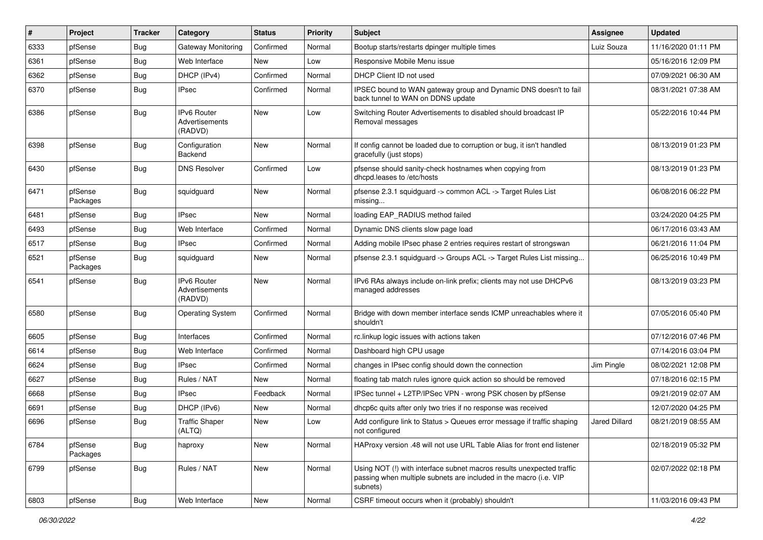| $\vert$ # | Project             | <b>Tracker</b> | Category                                        | <b>Status</b> | <b>Priority</b> | <b>Subject</b>                                                                                                                                         | <b>Assignee</b> | <b>Updated</b>      |
|-----------|---------------------|----------------|-------------------------------------------------|---------------|-----------------|--------------------------------------------------------------------------------------------------------------------------------------------------------|-----------------|---------------------|
| 6333      | pfSense             | <b>Bug</b>     | Gateway Monitoring                              | Confirmed     | Normal          | Bootup starts/restarts dpinger multiple times                                                                                                          | Luiz Souza      | 11/16/2020 01:11 PM |
| 6361      | pfSense             | Bug            | Web Interface                                   | New           | Low             | Responsive Mobile Menu issue                                                                                                                           |                 | 05/16/2016 12:09 PM |
| 6362      | pfSense             | <b>Bug</b>     | DHCP (IPv4)                                     | Confirmed     | Normal          | DHCP Client ID not used                                                                                                                                |                 | 07/09/2021 06:30 AM |
| 6370      | pfSense             | <b>Bug</b>     | <b>IPsec</b>                                    | Confirmed     | Normal          | IPSEC bound to WAN gateway group and Dynamic DNS doesn't to fail<br>back tunnel to WAN on DDNS update                                                  |                 | 08/31/2021 07:38 AM |
| 6386      | pfSense             | Bug            | <b>IPv6 Router</b><br>Advertisements<br>(RADVD) | <b>New</b>    | Low             | Switching Router Advertisements to disabled should broadcast IP<br>Removal messages                                                                    |                 | 05/22/2016 10:44 PM |
| 6398      | pfSense             | Bug            | Configuration<br>Backend                        | <b>New</b>    | Normal          | If config cannot be loaded due to corruption or bug, it isn't handled<br>gracefully (just stops)                                                       |                 | 08/13/2019 01:23 PM |
| 6430      | pfSense             | Bug            | <b>DNS Resolver</b>                             | Confirmed     | Low             | pfsense should sanity-check hostnames when copying from<br>dhcpd.leases to /etc/hosts                                                                  |                 | 08/13/2019 01:23 PM |
| 6471      | pfSense<br>Packages | <b>Bug</b>     | squidguard                                      | New           | Normal          | pfsense 2.3.1 squidguard -> common ACL -> Target Rules List<br>missing                                                                                 |                 | 06/08/2016 06:22 PM |
| 6481      | pfSense             | Bug            | <b>IPsec</b>                                    | New           | Normal          | loading EAP_RADIUS method failed                                                                                                                       |                 | 03/24/2020 04:25 PM |
| 6493      | pfSense             | <b>Bug</b>     | Web Interface                                   | Confirmed     | Normal          | Dynamic DNS clients slow page load                                                                                                                     |                 | 06/17/2016 03:43 AM |
| 6517      | pfSense             | <b>Bug</b>     | <b>IPsec</b>                                    | Confirmed     | Normal          | Adding mobile IPsec phase 2 entries requires restart of strongswan                                                                                     |                 | 06/21/2016 11:04 PM |
| 6521      | pfSense<br>Packages | <b>Bug</b>     | squidguard                                      | New           | Normal          | pfsense 2.3.1 squidguard -> Groups ACL -> Target Rules List missing                                                                                    |                 | 06/25/2016 10:49 PM |
| 6541      | pfSense             | <b>Bug</b>     | IPv6 Router<br>Advertisements<br>(RADVD)        | <b>New</b>    | Normal          | IPv6 RAs always include on-link prefix; clients may not use DHCPv6<br>managed addresses                                                                |                 | 08/13/2019 03:23 PM |
| 6580      | pfSense             | <b>Bug</b>     | <b>Operating System</b>                         | Confirmed     | Normal          | Bridge with down member interface sends ICMP unreachables where it<br>shouldn't                                                                        |                 | 07/05/2016 05:40 PM |
| 6605      | pfSense             | <b>Bug</b>     | Interfaces                                      | Confirmed     | Normal          | rc.linkup logic issues with actions taken                                                                                                              |                 | 07/12/2016 07:46 PM |
| 6614      | pfSense             | <b>Bug</b>     | Web Interface                                   | Confirmed     | Normal          | Dashboard high CPU usage                                                                                                                               |                 | 07/14/2016 03:04 PM |
| 6624      | pfSense             | <b>Bug</b>     | <b>IPsec</b>                                    | Confirmed     | Normal          | changes in IPsec config should down the connection                                                                                                     | Jim Pingle      | 08/02/2021 12:08 PM |
| 6627      | pfSense             | Bug            | Rules / NAT                                     | New           | Normal          | floating tab match rules ignore quick action so should be removed                                                                                      |                 | 07/18/2016 02:15 PM |
| 6668      | pfSense             | Bug            | <b>IPsec</b>                                    | Feedback      | Normal          | IPSec tunnel + L2TP/IPSec VPN - wrong PSK chosen by pfSense                                                                                            |                 | 09/21/2019 02:07 AM |
| 6691      | pfSense             | <b>Bug</b>     | DHCP (IPv6)                                     | New           | Normal          | dhcp6c quits after only two tries if no response was received                                                                                          |                 | 12/07/2020 04:25 PM |
| 6696      | pfSense             | <b>Bug</b>     | <b>Traffic Shaper</b><br>(ALTQ)                 | New           | Low             | Add configure link to Status > Queues error message if traffic shaping<br>not configured                                                               | Jared Dillard   | 08/21/2019 08:55 AM |
| 6784      | pfSense<br>Packages | <b>Bug</b>     | haproxy                                         | New           | Normal          | HAProxy version .48 will not use URL Table Alias for front end listener                                                                                |                 | 02/18/2019 05:32 PM |
| 6799      | pfSense             | <b>Bug</b>     | Rules / NAT                                     | New           | Normal          | Using NOT (!) with interface subnet macros results unexpected traffic<br>passing when multiple subnets are included in the macro (i.e. VIP<br>subnets) |                 | 02/07/2022 02:18 PM |
| 6803      | pfSense             | Bug            | Web Interface                                   | New           | Normal          | CSRF timeout occurs when it (probably) shouldn't                                                                                                       |                 | 11/03/2016 09:43 PM |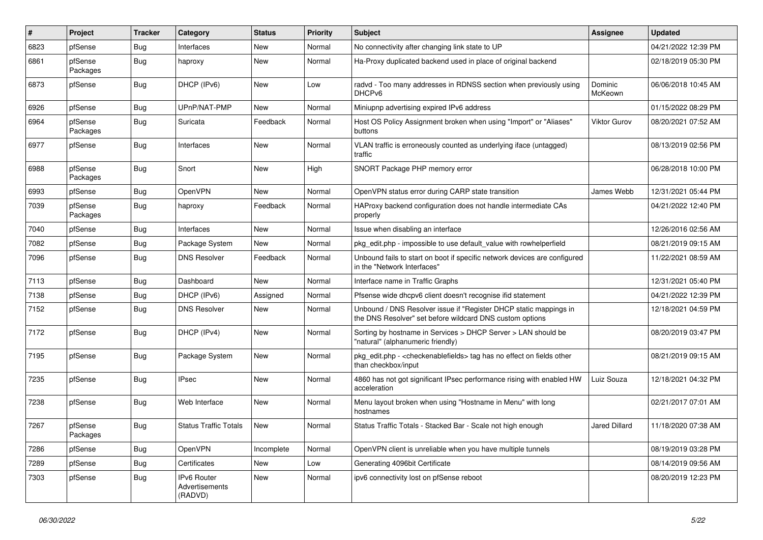| #    | Project             | <b>Tracker</b> | Category                                 | <b>Status</b> | <b>Priority</b> | <b>Subject</b>                                                                                                                | <b>Assignee</b>      | <b>Updated</b>      |
|------|---------------------|----------------|------------------------------------------|---------------|-----------------|-------------------------------------------------------------------------------------------------------------------------------|----------------------|---------------------|
| 6823 | pfSense             | <b>Bug</b>     | Interfaces                               | <b>New</b>    | Normal          | No connectivity after changing link state to UP                                                                               |                      | 04/21/2022 12:39 PM |
| 6861 | pfSense<br>Packages | <b>Bug</b>     | haproxy                                  | New           | Normal          | Ha-Proxy duplicated backend used in place of original backend                                                                 |                      | 02/18/2019 05:30 PM |
| 6873 | pfSense             | Bug            | DHCP (IPv6)                              | New           | Low             | radvd - Too many addresses in RDNSS section when previously using<br>DHCP <sub>v6</sub>                                       | Dominic<br>McKeown   | 06/06/2018 10:45 AM |
| 6926 | pfSense             | <b>Bug</b>     | UPnP/NAT-PMP                             | New           | Normal          | Miniupnp advertising expired IPv6 address                                                                                     |                      | 01/15/2022 08:29 PM |
| 6964 | pfSense<br>Packages | Bug            | Suricata                                 | Feedback      | Normal          | Host OS Policy Assignment broken when using "Import" or "Aliases"<br>buttons                                                  | Viktor Gurov         | 08/20/2021 07:52 AM |
| 6977 | pfSense             | Bug            | Interfaces                               | New           | Normal          | VLAN traffic is erroneously counted as underlying iface (untagged)<br>traffic                                                 |                      | 08/13/2019 02:56 PM |
| 6988 | pfSense<br>Packages | Bug            | Snort                                    | New           | High            | SNORT Package PHP memory error                                                                                                |                      | 06/28/2018 10:00 PM |
| 6993 | pfSense             | <b>Bug</b>     | <b>OpenVPN</b>                           | New           | Normal          | OpenVPN status error during CARP state transition                                                                             | James Webb           | 12/31/2021 05:44 PM |
| 7039 | pfSense<br>Packages | Bug            | haproxy                                  | Feedback      | Normal          | HAProxy backend configuration does not handle intermediate CAs<br>properly                                                    |                      | 04/21/2022 12:40 PM |
| 7040 | pfSense             | Bug            | Interfaces                               | <b>New</b>    | Normal          | Issue when disabling an interface                                                                                             |                      | 12/26/2016 02:56 AM |
| 7082 | pfSense             | <b>Bug</b>     | Package System                           | New           | Normal          | pkg edit.php - impossible to use default value with rowhelperfield                                                            |                      | 08/21/2019 09:15 AM |
| 7096 | pfSense             | Bug            | <b>DNS Resolver</b>                      | Feedback      | Normal          | Unbound fails to start on boot if specific network devices are configured<br>in the "Network Interfaces"                      |                      | 11/22/2021 08:59 AM |
| 7113 | pfSense             | <b>Bug</b>     | Dashboard                                | New           | Normal          | Interface name in Traffic Graphs                                                                                              |                      | 12/31/2021 05:40 PM |
| 7138 | pfSense             | Bug            | DHCP (IPv6)                              | Assigned      | Normal          | Pfsense wide dhcpv6 client doesn't recognise ifid statement                                                                   |                      | 04/21/2022 12:39 PM |
| 7152 | pfSense             | Bug            | <b>DNS Resolver</b>                      | New           | Normal          | Unbound / DNS Resolver issue if "Register DHCP static mappings in<br>the DNS Resolver" set before wildcard DNS custom options |                      | 12/18/2021 04:59 PM |
| 7172 | pfSense             | Bug            | DHCP (IPv4)                              | <b>New</b>    | Normal          | Sorting by hostname in Services > DHCP Server > LAN should be<br>"natural" (alphanumeric friendly)                            |                      | 08/20/2019 03:47 PM |
| 7195 | pfSense             | <b>Bug</b>     | Package System                           | New           | Normal          | pkg_edit.php - < checkenablefields> tag has no effect on fields other<br>than checkbox/input                                  |                      | 08/21/2019 09:15 AM |
| 7235 | pfSense             | Bug            | <b>IPsec</b>                             | New           | Normal          | 4860 has not got significant IPsec performance rising with enabled HW<br>acceleration                                         | Luiz Souza           | 12/18/2021 04:32 PM |
| 7238 | pfSense             | <b>Bug</b>     | Web Interface                            | New           | Normal          | Menu layout broken when using "Hostname in Menu" with long<br>hostnames                                                       |                      | 02/21/2017 07:01 AM |
| 7267 | pfSense<br>Packages | <b>Bug</b>     | <b>Status Traffic Totals</b>             | New           | Normal          | Status Traffic Totals - Stacked Bar - Scale not high enough                                                                   | <b>Jared Dillard</b> | 11/18/2020 07:38 AM |
| 7286 | pfSense             | <b>Bug</b>     | <b>OpenVPN</b>                           | Incomplete    | Normal          | OpenVPN client is unreliable when you have multiple tunnels                                                                   |                      | 08/19/2019 03:28 PM |
| 7289 | pfSense             | <b>Bug</b>     | Certificates                             | New           | Low             | Generating 4096bit Certificate                                                                                                |                      | 08/14/2019 09:56 AM |
| 7303 | pfSense             | <b>Bug</b>     | IPv6 Router<br>Advertisements<br>(RADVD) | New           | Normal          | ipv6 connectivity lost on pfSense reboot                                                                                      |                      | 08/20/2019 12:23 PM |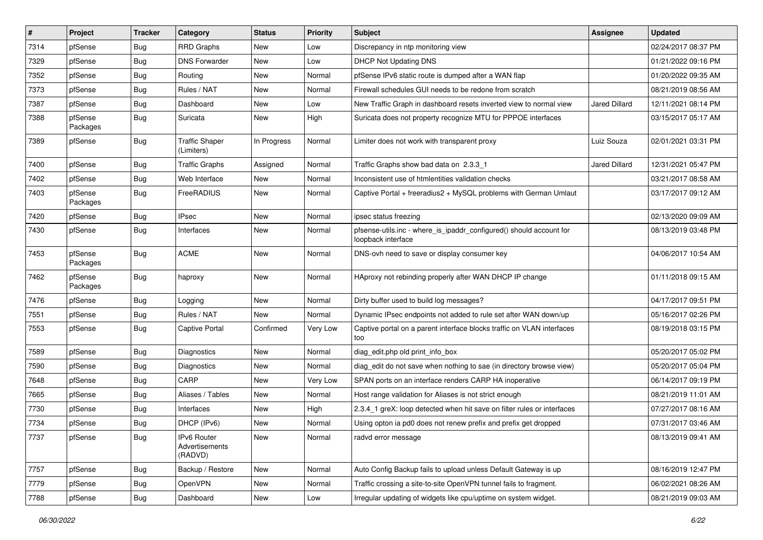| $\vert$ # | Project             | <b>Tracker</b> | Category                                 | <b>Status</b> | <b>Priority</b> | <b>Subject</b>                                                                            | <b>Assignee</b>      | <b>Updated</b>      |
|-----------|---------------------|----------------|------------------------------------------|---------------|-----------------|-------------------------------------------------------------------------------------------|----------------------|---------------------|
| 7314      | pfSense             | Bug            | <b>RRD Graphs</b>                        | New           | Low             | Discrepancy in ntp monitoring view                                                        |                      | 02/24/2017 08:37 PM |
| 7329      | pfSense             | Bug            | <b>DNS Forwarder</b>                     | New           | Low             | <b>DHCP Not Updating DNS</b>                                                              |                      | 01/21/2022 09:16 PM |
| 7352      | pfSense             | Bug            | Routing                                  | New           | Normal          | pfSense IPv6 static route is dumped after a WAN flap                                      |                      | 01/20/2022 09:35 AM |
| 7373      | pfSense             | Bug            | Rules / NAT                              | New           | Normal          | Firewall schedules GUI needs to be redone from scratch                                    |                      | 08/21/2019 08:56 AM |
| 7387      | pfSense             | Bug            | Dashboard                                | New           | Low             | New Traffic Graph in dashboard resets inverted view to normal view                        | Jared Dillard        | 12/11/2021 08:14 PM |
| 7388      | pfSense<br>Packages | Bug            | Suricata                                 | New           | High            | Suricata does not property recognize MTU for PPPOE interfaces                             |                      | 03/15/2017 05:17 AM |
| 7389      | pfSense             | Bug            | <b>Traffic Shaper</b><br>(Limiters)      | In Progress   | Normal          | Limiter does not work with transparent proxy                                              | Luiz Souza           | 02/01/2021 03:31 PM |
| 7400      | pfSense             | Bug            | <b>Traffic Graphs</b>                    | Assigned      | Normal          | Traffic Graphs show bad data on 2.3.3 1                                                   | <b>Jared Dillard</b> | 12/31/2021 05:47 PM |
| 7402      | pfSense             | Bug            | Web Interface                            | New           | Normal          | Inconsistent use of htmlentities validation checks                                        |                      | 03/21/2017 08:58 AM |
| 7403      | pfSense<br>Packages | Bug            | FreeRADIUS                               | New           | Normal          | Captive Portal + freeradius2 + MySQL problems with German Umlaut                          |                      | 03/17/2017 09:12 AM |
| 7420      | pfSense             | Bug            | <b>IPsec</b>                             | <b>New</b>    | Normal          | ipsec status freezing                                                                     |                      | 02/13/2020 09:09 AM |
| 7430      | pfSense             | Bug            | Interfaces                               | New           | Normal          | pfsense-utils.inc - where_is_ipaddr_configured() should account for<br>loopback interface |                      | 08/13/2019 03:48 PM |
| 7453      | pfSense<br>Packages | Bug            | <b>ACME</b>                              | New           | Normal          | DNS-ovh need to save or display consumer key                                              |                      | 04/06/2017 10:54 AM |
| 7462      | pfSense<br>Packages | <b>Bug</b>     | haproxy                                  | New           | Normal          | HAproxy not rebinding properly after WAN DHCP IP change                                   |                      | 01/11/2018 09:15 AM |
| 7476      | pfSense             | Bug            | Logging                                  | <b>New</b>    | Normal          | Dirty buffer used to build log messages?                                                  |                      | 04/17/2017 09:51 PM |
| 7551      | pfSense             | Bug            | Rules / NAT                              | New           | Normal          | Dynamic IPsec endpoints not added to rule set after WAN down/up                           |                      | 05/16/2017 02:26 PM |
| 7553      | pfSense             | Bug            | <b>Captive Portal</b>                    | Confirmed     | Very Low        | Captive portal on a parent interface blocks traffic on VLAN interfaces<br>too             |                      | 08/19/2018 03:15 PM |
| 7589      | pfSense             | Bug            | Diagnostics                              | New           | Normal          | diag edit.php old print info box                                                          |                      | 05/20/2017 05:02 PM |
| 7590      | pfSense             | Bug            | Diagnostics                              | New           | Normal          | diag_edit do not save when nothing to sae (in directory browse view)                      |                      | 05/20/2017 05:04 PM |
| 7648      | pfSense             | Bug            | CARP                                     | New           | Very Low        | SPAN ports on an interface renders CARP HA inoperative                                    |                      | 06/14/2017 09:19 PM |
| 7665      | pfSense             | Bug            | Aliases / Tables                         | New           | Normal          | Host range validation for Aliases is not strict enough                                    |                      | 08/21/2019 11:01 AM |
| 7730      | pfSense             | Bug            | Interfaces                               | New           | High            | 2.3.4_1 greX: loop detected when hit save on filter rules or interfaces                   |                      | 07/27/2017 08:16 AM |
| 7734      | pfSense             | Bug            | DHCP (IPv6)                              | New           | Normal          | Using opton ia pd0 does not renew prefix and prefix get dropped                           |                      | 07/31/2017 03:46 AM |
| 7737      | pfSense             | Bug            | IPv6 Router<br>Advertisements<br>(RADVD) | New           | Normal          | radvd error message                                                                       |                      | 08/13/2019 09:41 AM |
| 7757      | pfSense             | Bug            | Backup / Restore                         | New           | Normal          | Auto Config Backup fails to upload unless Default Gateway is up                           |                      | 08/16/2019 12:47 PM |
| 7779      | pfSense             | <b>Bug</b>     | OpenVPN                                  | New           | Normal          | Traffic crossing a site-to-site OpenVPN tunnel fails to fragment.                         |                      | 06/02/2021 08:26 AM |
| 7788      | pfSense             | Bug            | Dashboard                                | New           | Low             | Irregular updating of widgets like cpu/uptime on system widget.                           |                      | 08/21/2019 09:03 AM |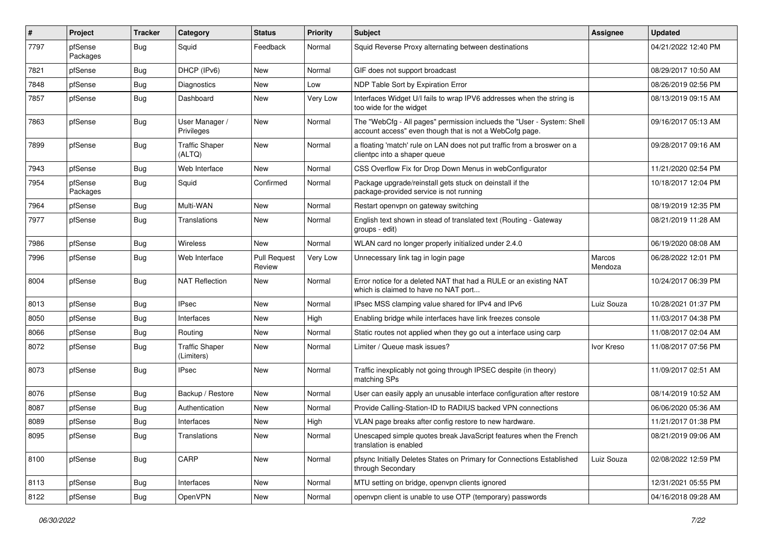| $\sharp$ | Project             | <b>Tracker</b> | Category                            | <b>Status</b>                 | <b>Priority</b> | <b>Subject</b>                                                                                                                    | Assignee          | <b>Updated</b>      |
|----------|---------------------|----------------|-------------------------------------|-------------------------------|-----------------|-----------------------------------------------------------------------------------------------------------------------------------|-------------------|---------------------|
| 7797     | pfSense<br>Packages | Bug            | Squid                               | Feedback                      | Normal          | Squid Reverse Proxy alternating between destinations                                                                              |                   | 04/21/2022 12:40 PM |
| 7821     | pfSense             | Bug            | DHCP (IPv6)                         | New                           | Normal          | GIF does not support broadcast                                                                                                    |                   | 08/29/2017 10:50 AM |
| 7848     | pfSense             | <b>Bug</b>     | <b>Diagnostics</b>                  | New                           | Low             | NDP Table Sort by Expiration Error                                                                                                |                   | 08/26/2019 02:56 PM |
| 7857     | pfSense             | Bug            | Dashboard                           | New                           | Very Low        | Interfaces Widget U/I fails to wrap IPV6 addresses when the string is<br>too wide for the widget                                  |                   | 08/13/2019 09:15 AM |
| 7863     | pfSense             | Bug            | User Manager /<br>Privileges        | New                           | Normal          | The "WebCfg - All pages" permission inclueds the "User - System: Shell<br>account access" even though that is not a WebCofg page. |                   | 09/16/2017 05:13 AM |
| 7899     | pfSense             | <b>Bug</b>     | <b>Traffic Shaper</b><br>(ALTQ)     | New                           | Normal          | a floating 'match' rule on LAN does not put traffic from a broswer on a<br>clientpc into a shaper queue                           |                   | 09/28/2017 09:16 AM |
| 7943     | pfSense             | Bug            | Web Interface                       | New                           | Normal          | CSS Overflow Fix for Drop Down Menus in webConfigurator                                                                           |                   | 11/21/2020 02:54 PM |
| 7954     | pfSense<br>Packages | Bug            | Squid                               | Confirmed                     | Normal          | Package upgrade/reinstall gets stuck on deinstall if the<br>package-provided service is not running                               |                   | 10/18/2017 12:04 PM |
| 7964     | pfSense             | Bug            | Multi-WAN                           | New                           | Normal          | Restart openvpn on gateway switching                                                                                              |                   | 08/19/2019 12:35 PM |
| 7977     | pfSense             | Bug            | Translations                        | New                           | Normal          | English text shown in stead of translated text (Routing - Gateway<br>groups - edit)                                               |                   | 08/21/2019 11:28 AM |
| 7986     | pfSense             | Bug            | Wireless                            | New                           | Normal          | WLAN card no longer properly initialized under 2.4.0                                                                              |                   | 06/19/2020 08:08 AM |
| 7996     | pfSense             | Bug            | Web Interface                       | <b>Pull Request</b><br>Review | Very Low        | Unnecessary link tag in login page                                                                                                | Marcos<br>Mendoza | 06/28/2022 12:01 PM |
| 8004     | pfSense             | Bug            | <b>NAT Reflection</b>               | New                           | Normal          | Error notice for a deleted NAT that had a RULE or an existing NAT<br>which is claimed to have no NAT port                         |                   | 10/24/2017 06:39 PM |
| 8013     | pfSense             | Bug            | <b>IPsec</b>                        | New                           | Normal          | IPsec MSS clamping value shared for IPv4 and IPv6                                                                                 | Luiz Souza        | 10/28/2021 01:37 PM |
| 8050     | pfSense             | <b>Bug</b>     | Interfaces                          | New                           | High            | Enabling bridge while interfaces have link freezes console                                                                        |                   | 11/03/2017 04:38 PM |
| 8066     | pfSense             | Bug            | Routing                             | New                           | Normal          | Static routes not applied when they go out a interface using carp                                                                 |                   | 11/08/2017 02:04 AM |
| 8072     | pfSense             | <b>Bug</b>     | <b>Traffic Shaper</b><br>(Limiters) | New                           | Normal          | Limiter / Queue mask issues?                                                                                                      | Ivor Kreso        | 11/08/2017 07:56 PM |
| 8073     | pfSense             | Bug            | <b>IPsec</b>                        | <b>New</b>                    | Normal          | Traffic inexplicably not going through IPSEC despite (in theory)<br>matching SPs                                                  |                   | 11/09/2017 02:51 AM |
| 8076     | pfSense             | Bug            | Backup / Restore                    | New                           | Normal          | User can easily apply an unusable interface configuration after restore                                                           |                   | 08/14/2019 10:52 AM |
| 8087     | pfSense             | <b>Bug</b>     | Authentication                      | New                           | Normal          | Provide Calling-Station-ID to RADIUS backed VPN connections                                                                       |                   | 06/06/2020 05:36 AM |
| 8089     | pfSense             | <b>Bug</b>     | Interfaces                          | New                           | High            | VLAN page breaks after config restore to new hardware.                                                                            |                   | 11/21/2017 01:38 PM |
| 8095     | pfSense             | <b>Bug</b>     | Translations                        | New                           | Normal          | Unescaped simple quotes break JavaScript features when the French<br>translation is enabled                                       |                   | 08/21/2019 09:06 AM |
| 8100     | pfSense             | <b>Bug</b>     | CARP                                | New                           | Normal          | pfsync Initially Deletes States on Primary for Connections Established<br>through Secondary                                       | Luiz Souza        | 02/08/2022 12:59 PM |
| 8113     | pfSense             | <b>Bug</b>     | Interfaces                          | New                           | Normal          | MTU setting on bridge, openvpn clients ignored                                                                                    |                   | 12/31/2021 05:55 PM |
| 8122     | pfSense             | <b>Bug</b>     | OpenVPN                             | New                           | Normal          | openvpn client is unable to use OTP (temporary) passwords                                                                         |                   | 04/16/2018 09:28 AM |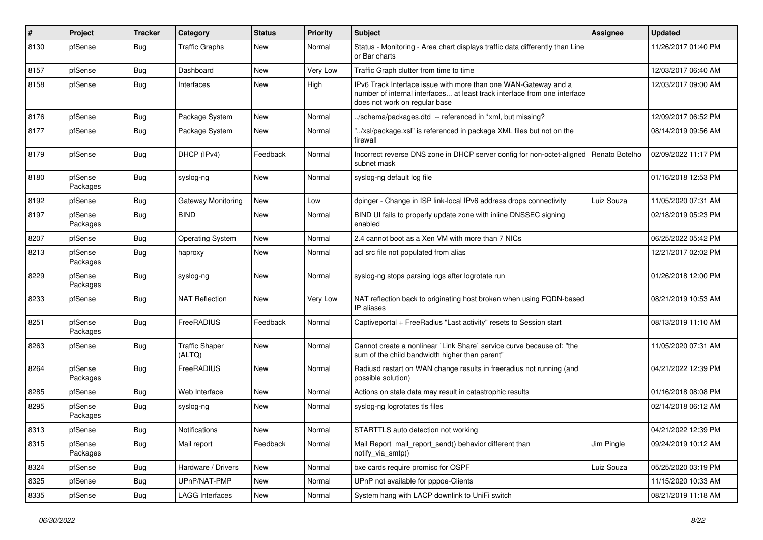| $\#$ | Project             | <b>Tracker</b> | Category                        | <b>Status</b> | <b>Priority</b> | <b>Subject</b>                                                                                                                                                                | Assignee       | <b>Updated</b>      |
|------|---------------------|----------------|---------------------------------|---------------|-----------------|-------------------------------------------------------------------------------------------------------------------------------------------------------------------------------|----------------|---------------------|
| 8130 | pfSense             | Bug            | <b>Traffic Graphs</b>           | New           | Normal          | Status - Monitoring - Area chart displays traffic data differently than Line<br>or Bar charts                                                                                 |                | 11/26/2017 01:40 PM |
| 8157 | pfSense             | <b>Bug</b>     | Dashboard                       | New           | <b>Very Low</b> | Traffic Graph clutter from time to time                                                                                                                                       |                | 12/03/2017 06:40 AM |
| 8158 | pfSense             | <b>Bug</b>     | Interfaces                      | New           | High            | IPv6 Track Interface issue with more than one WAN-Gateway and a<br>number of internal interfaces at least track interface from one interface<br>does not work on regular base |                | 12/03/2017 09:00 AM |
| 8176 | pfSense             | <b>Bug</b>     | Package System                  | New           | Normal          | /schema/packages.dtd -- referenced in *xml, but missing?                                                                                                                      |                | 12/09/2017 06:52 PM |
| 8177 | pfSense             | Bug            | Package System                  | New           | Normal          | "/xsl/package.xsl" is referenced in package XML files but not on the<br>firewall                                                                                              |                | 08/14/2019 09:56 AM |
| 8179 | pfSense             | <b>Bug</b>     | DHCP (IPv4)                     | Feedback      | Normal          | Incorrect reverse DNS zone in DHCP server config for non-octet-aligned<br>subnet mask                                                                                         | Renato Botelho | 02/09/2022 11:17 PM |
| 8180 | pfSense<br>Packages | Bug            | syslog-ng                       | New           | Normal          | syslog-ng default log file                                                                                                                                                    |                | 01/16/2018 12:53 PM |
| 8192 | pfSense             | <b>Bug</b>     | Gateway Monitoring              | New           | Low             | dpinger - Change in ISP link-local IPv6 address drops connectivity                                                                                                            | Luiz Souza     | 11/05/2020 07:31 AM |
| 8197 | pfSense<br>Packages | <b>Bug</b>     | <b>BIND</b>                     | New           | Normal          | BIND UI fails to properly update zone with inline DNSSEC signing<br>enabled                                                                                                   |                | 02/18/2019 05:23 PM |
| 8207 | pfSense             | <b>Bug</b>     | <b>Operating System</b>         | New           | Normal          | 2.4 cannot boot as a Xen VM with more than 7 NICs                                                                                                                             |                | 06/25/2022 05:42 PM |
| 8213 | pfSense<br>Packages | <b>Bug</b>     | haproxy                         | New           | Normal          | acl src file not populated from alias                                                                                                                                         |                | 12/21/2017 02:02 PM |
| 8229 | pfSense<br>Packages | <b>Bug</b>     | syslog-ng                       | New           | Normal          | syslog-ng stops parsing logs after logrotate run                                                                                                                              |                | 01/26/2018 12:00 PM |
| 8233 | pfSense             | Bug            | <b>NAT Reflection</b>           | New           | Very Low        | NAT reflection back to originating host broken when using FQDN-based<br>IP aliases                                                                                            |                | 08/21/2019 10:53 AM |
| 8251 | pfSense<br>Packages | Bug            | FreeRADIUS                      | Feedback      | Normal          | Captiveportal + FreeRadius "Last activity" resets to Session start                                                                                                            |                | 08/13/2019 11:10 AM |
| 8263 | pfSense             | <b>Bug</b>     | <b>Traffic Shaper</b><br>(ALTQ) | New           | Normal          | Cannot create a nonlinear `Link Share` service curve because of: "the<br>sum of the child bandwidth higher than parent"                                                       |                | 11/05/2020 07:31 AM |
| 8264 | pfSense<br>Packages | Bug            | FreeRADIUS                      | New           | Normal          | Radiusd restart on WAN change results in freeradius not running (and<br>possible solution)                                                                                    |                | 04/21/2022 12:39 PM |
| 8285 | pfSense             | Bug            | Web Interface                   | <b>New</b>    | Normal          | Actions on stale data may result in catastrophic results                                                                                                                      |                | 01/16/2018 08:08 PM |
| 8295 | pfSense<br>Packages | <b>Bug</b>     | syslog-ng                       | New           | Normal          | syslog-ng logrotates tls files                                                                                                                                                |                | 02/14/2018 06:12 AM |
| 8313 | pfSense             | Bug            | Notifications                   | New           | Normal          | STARTTLS auto detection not working                                                                                                                                           |                | 04/21/2022 12:39 PM |
| 8315 | pfSense<br>Packages | Bug            | Mail report                     | Feedback      | Normal          | Mail Report mail_report_send() behavior different than<br>notify_via_smtp()                                                                                                   | Jim Pingle     | 09/24/2019 10:12 AM |
| 8324 | pfSense             | <b>Bug</b>     | Hardware / Drivers              | New           | Normal          | bxe cards require promisc for OSPF                                                                                                                                            | Luiz Souza     | 05/25/2020 03:19 PM |
| 8325 | pfSense             | <b>Bug</b>     | UPnP/NAT-PMP                    | New           | Normal          | UPnP not available for pppoe-Clients                                                                                                                                          |                | 11/15/2020 10:33 AM |
| 8335 | pfSense             | <b>Bug</b>     | <b>LAGG Interfaces</b>          | New           | Normal          | System hang with LACP downlink to UniFi switch                                                                                                                                |                | 08/21/2019 11:18 AM |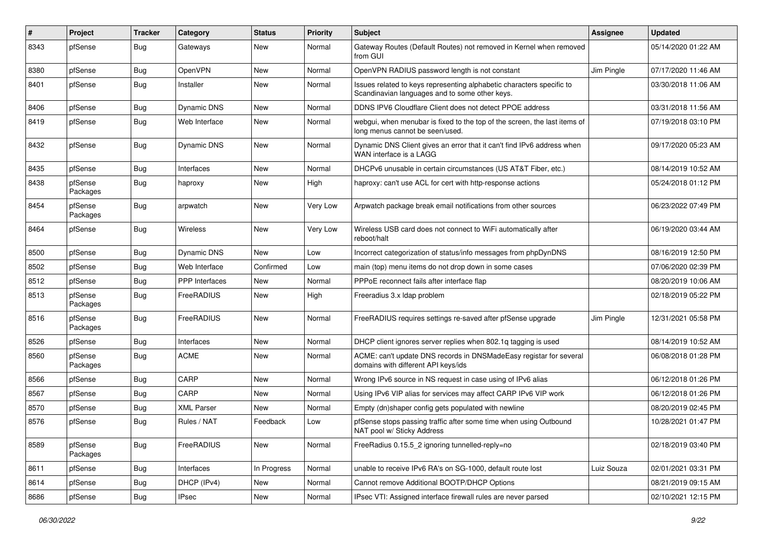| ∦    | Project             | <b>Tracker</b> | Category              | <b>Status</b> | <b>Priority</b> | <b>Subject</b>                                                                                                          | Assignee   | <b>Updated</b>      |
|------|---------------------|----------------|-----------------------|---------------|-----------------|-------------------------------------------------------------------------------------------------------------------------|------------|---------------------|
| 8343 | pfSense             | <b>Bug</b>     | Gateways              | New           | Normal          | Gateway Routes (Default Routes) not removed in Kernel when removed<br>from GUI                                          |            | 05/14/2020 01:22 AM |
| 8380 | pfSense             | <b>Bug</b>     | OpenVPN               | New           | Normal          | OpenVPN RADIUS password length is not constant                                                                          | Jim Pingle | 07/17/2020 11:46 AM |
| 8401 | pfSense             | Bug            | Installer             | New           | Normal          | Issues related to keys representing alphabetic characters specific to<br>Scandinavian languages and to some other keys. |            | 03/30/2018 11:06 AM |
| 8406 | pfSense             | <b>Bug</b>     | <b>Dynamic DNS</b>    | New           | Normal          | DDNS IPV6 Cloudflare Client does not detect PPOE address                                                                |            | 03/31/2018 11:56 AM |
| 8419 | pfSense             | Bug            | Web Interface         | New           | Normal          | webgui, when menubar is fixed to the top of the screen, the last items of<br>long menus cannot be seen/used.            |            | 07/19/2018 03:10 PM |
| 8432 | pfSense             | Bug            | <b>Dynamic DNS</b>    | New           | Normal          | Dynamic DNS Client gives an error that it can't find IPv6 address when<br>WAN interface is a LAGG                       |            | 09/17/2020 05:23 AM |
| 8435 | pfSense             | Bug            | Interfaces            | New           | Normal          | DHCPv6 unusable in certain circumstances (US AT&T Fiber, etc.)                                                          |            | 08/14/2019 10:52 AM |
| 8438 | pfSense<br>Packages | Bug            | haproxy               | New           | High            | haproxy: can't use ACL for cert with http-response actions                                                              |            | 05/24/2018 01:12 PM |
| 8454 | pfSense<br>Packages | Bug            | arpwatch              | New           | Very Low        | Arpwatch package break email notifications from other sources                                                           |            | 06/23/2022 07:49 PM |
| 8464 | pfSense             | Bug            | Wireless              | New           | Very Low        | Wireless USB card does not connect to WiFi automatically after<br>reboot/halt                                           |            | 06/19/2020 03:44 AM |
| 8500 | pfSense             | <b>Bug</b>     | <b>Dynamic DNS</b>    | New           | Low             | Incorrect categorization of status/info messages from phpDynDNS                                                         |            | 08/16/2019 12:50 PM |
| 8502 | pfSense             | <b>Bug</b>     | Web Interface         | Confirmed     | Low             | main (top) menu items do not drop down in some cases                                                                    |            | 07/06/2020 02:39 PM |
| 8512 | pfSense             | <b>Bug</b>     | <b>PPP</b> Interfaces | New           | Normal          | PPPoE reconnect fails after interface flap                                                                              |            | 08/20/2019 10:06 AM |
| 8513 | pfSense<br>Packages | Bug            | <b>FreeRADIUS</b>     | New           | High            | Freeradius 3.x Idap problem                                                                                             |            | 02/18/2019 05:22 PM |
| 8516 | pfSense<br>Packages | <b>Bug</b>     | FreeRADIUS            | New           | Normal          | FreeRADIUS requires settings re-saved after pfSense upgrade                                                             | Jim Pingle | 12/31/2021 05:58 PM |
| 8526 | pfSense             | <b>Bug</b>     | Interfaces            | New           | Normal          | DHCP client ignores server replies when 802.1g tagging is used                                                          |            | 08/14/2019 10:52 AM |
| 8560 | pfSense<br>Packages | Bug            | <b>ACME</b>           | New           | Normal          | ACME: can't update DNS records in DNSMadeEasy registar for several<br>domains with different API keys/ids               |            | 06/08/2018 01:28 PM |
| 8566 | pfSense             | Bug            | CARP                  | New           | Normal          | Wrong IPv6 source in NS request in case using of IPv6 alias                                                             |            | 06/12/2018 01:26 PM |
| 8567 | pfSense             | Bug            | CARP                  | <b>New</b>    | Normal          | Using IPv6 VIP alias for services may affect CARP IPv6 VIP work                                                         |            | 06/12/2018 01:26 PM |
| 8570 | pfSense             | Bug            | <b>XML Parser</b>     | New           | Normal          | Empty (dn)shaper config gets populated with newline                                                                     |            | 08/20/2019 02:45 PM |
| 8576 | pfSense             | Bug            | Rules / NAT           | Feedback      | Low             | pfSense stops passing traffic after some time when using Outbound<br>NAT pool w/ Sticky Address                         |            | 10/28/2021 01:47 PM |
| 8589 | pfSense<br>Packages | Bug            | FreeRADIUS            | New           | Normal          | FreeRadius 0.15.5_2 ignoring tunnelled-reply=no                                                                         |            | 02/18/2019 03:40 PM |
| 8611 | pfSense             | <b>Bug</b>     | Interfaces            | In Progress   | Normal          | unable to receive IPv6 RA's on SG-1000, default route lost                                                              | Luiz Souza | 02/01/2021 03:31 PM |
| 8614 | pfSense             | <b>Bug</b>     | DHCP (IPv4)           | New           | Normal          | Cannot remove Additional BOOTP/DHCP Options                                                                             |            | 08/21/2019 09:15 AM |
| 8686 | pfSense             | <b>Bug</b>     | <b>IPsec</b>          | New           | Normal          | IPsec VTI: Assigned interface firewall rules are never parsed                                                           |            | 02/10/2021 12:15 PM |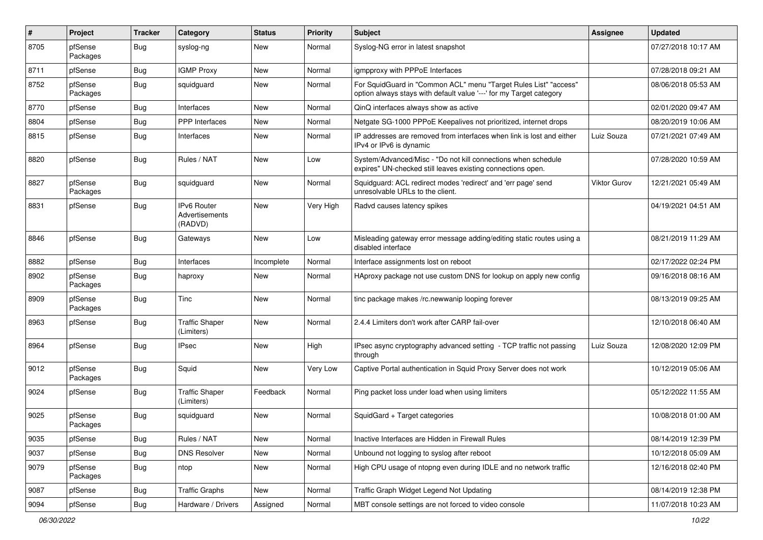| #    | Project             | <b>Tracker</b> | Category                                 | <b>Status</b> | <b>Priority</b> | Subject                                                                                                                                 | Assignee     | <b>Updated</b>      |
|------|---------------------|----------------|------------------------------------------|---------------|-----------------|-----------------------------------------------------------------------------------------------------------------------------------------|--------------|---------------------|
| 8705 | pfSense<br>Packages | Bug            | syslog-ng                                | New           | Normal          | Syslog-NG error in latest snapshot                                                                                                      |              | 07/27/2018 10:17 AM |
| 8711 | pfSense             | Bug            | <b>IGMP Proxy</b>                        | New           | Normal          | igmpproxy with PPPoE Interfaces                                                                                                         |              | 07/28/2018 09:21 AM |
| 8752 | pfSense<br>Packages | Bug            | squidguard                               | New           | Normal          | For SquidGuard in "Common ACL" menu "Target Rules List" "access"<br>option always stays with default value '---' for my Target category |              | 08/06/2018 05:53 AM |
| 8770 | pfSense             | Bug            | Interfaces                               | New           | Normal          | QinQ interfaces always show as active                                                                                                   |              | 02/01/2020 09:47 AM |
| 8804 | pfSense             | <b>Bug</b>     | PPP Interfaces                           | New           | Normal          | Netgate SG-1000 PPPoE Keepalives not prioritized, internet drops                                                                        |              | 08/20/2019 10:06 AM |
| 8815 | pfSense             | <b>Bug</b>     | Interfaces                               | New           | Normal          | IP addresses are removed from interfaces when link is lost and either<br>IPv4 or IPv6 is dynamic                                        | Luiz Souza   | 07/21/2021 07:49 AM |
| 8820 | pfSense             | Bug            | Rules / NAT                              | New           | Low             | System/Advanced/Misc - "Do not kill connections when schedule<br>expires" UN-checked still leaves existing connections open.            |              | 07/28/2020 10:59 AM |
| 8827 | pfSense<br>Packages | Bug            | squidguard                               | New           | Normal          | Squidguard: ACL redirect modes 'redirect' and 'err page' send<br>unresolvable URLs to the client.                                       | Viktor Gurov | 12/21/2021 05:49 AM |
| 8831 | pfSense             | <b>Bug</b>     | IPv6 Router<br>Advertisements<br>(RADVD) | New           | Very High       | Radvd causes latency spikes                                                                                                             |              | 04/19/2021 04:51 AM |
| 8846 | pfSense             | Bug            | Gateways                                 | New           | Low             | Misleading gateway error message adding/editing static routes using a<br>disabled interface                                             |              | 08/21/2019 11:29 AM |
| 8882 | pfSense             | Bug            | Interfaces                               | Incomplete    | Normal          | Interface assignments lost on reboot                                                                                                    |              | 02/17/2022 02:24 PM |
| 8902 | pfSense<br>Packages | <b>Bug</b>     | haproxy                                  | New           | Normal          | HAproxy package not use custom DNS for lookup on apply new config                                                                       |              | 09/16/2018 08:16 AM |
| 8909 | pfSense<br>Packages | <b>Bug</b>     | Tinc                                     | <b>New</b>    | Normal          | tinc package makes /rc.newwanip looping forever                                                                                         |              | 08/13/2019 09:25 AM |
| 8963 | pfSense             | <b>Bug</b>     | <b>Traffic Shaper</b><br>(Limiters)      | <b>New</b>    | Normal          | 2.4.4 Limiters don't work after CARP fail-over                                                                                          |              | 12/10/2018 06:40 AM |
| 8964 | pfSense             | Bug            | <b>IPsec</b>                             | New           | High            | IPsec async cryptography advanced setting - TCP traffic not passing<br>through                                                          | Luiz Souza   | 12/08/2020 12:09 PM |
| 9012 | pfSense<br>Packages | Bug            | Squid                                    | New           | Very Low        | Captive Portal authentication in Squid Proxy Server does not work                                                                       |              | 10/12/2019 05:06 AM |
| 9024 | pfSense             | <b>Bug</b>     | <b>Traffic Shaper</b><br>(Limiters)      | Feedback      | Normal          | Ping packet loss under load when using limiters                                                                                         |              | 05/12/2022 11:55 AM |
| 9025 | pfSense<br>Packages | <b>Bug</b>     | squidguard                               | New           | Normal          | SquidGard + Target categories                                                                                                           |              | 10/08/2018 01:00 AM |
| 9035 | pfSense             | <b>Bug</b>     | Rules / NAT                              | New           | Normal          | Inactive Interfaces are Hidden in Firewall Rules                                                                                        |              | 08/14/2019 12:39 PM |
| 9037 | pfSense             | Bug            | <b>DNS Resolver</b>                      | New           | Normal          | Unbound not logging to syslog after reboot                                                                                              |              | 10/12/2018 05:09 AM |
| 9079 | pfSense<br>Packages | <b>Bug</b>     | ntop                                     | New           | Normal          | High CPU usage of ntopng even during IDLE and no network traffic                                                                        |              | 12/16/2018 02:40 PM |
| 9087 | pfSense             | <b>Bug</b>     | <b>Traffic Graphs</b>                    | New           | Normal          | Traffic Graph Widget Legend Not Updating                                                                                                |              | 08/14/2019 12:38 PM |
| 9094 | pfSense             | <b>Bug</b>     | Hardware / Drivers                       | Assigned      | Normal          | MBT console settings are not forced to video console                                                                                    |              | 11/07/2018 10:23 AM |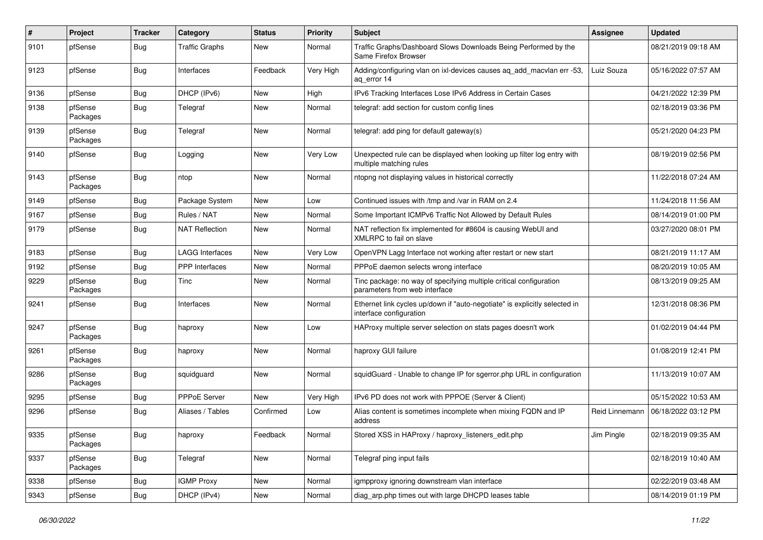| $\sharp$ | Project             | <b>Tracker</b> | Category               | <b>Status</b> | <b>Priority</b> | <b>Subject</b>                                                                                        | <b>Assignee</b> | <b>Updated</b>      |
|----------|---------------------|----------------|------------------------|---------------|-----------------|-------------------------------------------------------------------------------------------------------|-----------------|---------------------|
| 9101     | pfSense             | <b>Bug</b>     | <b>Traffic Graphs</b>  | New           | Normal          | Traffic Graphs/Dashboard Slows Downloads Being Performed by the<br>Same Firefox Browser               |                 | 08/21/2019 09:18 AM |
| 9123     | pfSense             | Bug            | Interfaces             | Feedback      | Very High       | Adding/configuring vlan on ixl-devices causes ag add macvlan err -53,<br>ag error 14                  | Luiz Souza      | 05/16/2022 07:57 AM |
| 9136     | pfSense             | Bug            | DHCP (IPv6)            | New           | High            | IPv6 Tracking Interfaces Lose IPv6 Address in Certain Cases                                           |                 | 04/21/2022 12:39 PM |
| 9138     | pfSense<br>Packages | Bug            | Telegraf               | New           | Normal          | telegraf: add section for custom config lines                                                         |                 | 02/18/2019 03:36 PM |
| 9139     | pfSense<br>Packages | Bug            | Telegraf               | New           | Normal          | telegraf: add ping for default gateway(s)                                                             |                 | 05/21/2020 04:23 PM |
| 9140     | pfSense             | Bug            | Logging                | New           | Very Low        | Unexpected rule can be displayed when looking up filter log entry with<br>multiple matching rules     |                 | 08/19/2019 02:56 PM |
| 9143     | pfSense<br>Packages | Bug            | ntop                   | <b>New</b>    | Normal          | ntopng not displaying values in historical correctly                                                  |                 | 11/22/2018 07:24 AM |
| 9149     | pfSense             | <b>Bug</b>     | Package System         | New           | Low             | Continued issues with /tmp and /var in RAM on 2.4                                                     |                 | 11/24/2018 11:56 AM |
| 9167     | pfSense             | <b>Bug</b>     | Rules / NAT            | New           | Normal          | Some Important ICMPv6 Traffic Not Allowed by Default Rules                                            |                 | 08/14/2019 01:00 PM |
| 9179     | pfSense             | Bug            | <b>NAT Reflection</b>  | New           | Normal          | NAT reflection fix implemented for #8604 is causing WebUI and<br>XMLRPC to fail on slave              |                 | 03/27/2020 08:01 PM |
| 9183     | pfSense             | Bug            | <b>LAGG Interfaces</b> | New           | Very Low        | OpenVPN Lagg Interface not working after restart or new start                                         |                 | 08/21/2019 11:17 AM |
| 9192     | pfSense             | Bug            | PPP Interfaces         | New           | Normal          | PPPoE daemon selects wrong interface                                                                  |                 | 08/20/2019 10:05 AM |
| 9229     | pfSense<br>Packages | Bug            | Tinc                   | New           | Normal          | Tinc package: no way of specifying multiple critical configuration<br>parameters from web interface   |                 | 08/13/2019 09:25 AM |
| 9241     | pfSense             | Bug            | Interfaces             | New           | Normal          | Ethernet link cycles up/down if "auto-negotiate" is explicitly selected in<br>interface configuration |                 | 12/31/2018 08:36 PM |
| 9247     | pfSense<br>Packages | <b>Bug</b>     | haproxy                | New           | Low             | HAProxy multiple server selection on stats pages doesn't work                                         |                 | 01/02/2019 04:44 PM |
| 9261     | pfSense<br>Packages | Bug            | haproxy                | New           | Normal          | haproxy GUI failure                                                                                   |                 | 01/08/2019 12:41 PM |
| 9286     | pfSense<br>Packages | <b>Bug</b>     | squidguard             | New           | Normal          | squidGuard - Unable to change IP for sgerror.php URL in configuration                                 |                 | 11/13/2019 10:07 AM |
| 9295     | pfSense             | Bug            | PPPoE Server           | <b>New</b>    | Very High       | IPv6 PD does not work with PPPOE (Server & Client)                                                    |                 | 05/15/2022 10:53 AM |
| 9296     | pfSense             | Bug            | Aliases / Tables       | Confirmed     | Low             | Alias content is sometimes incomplete when mixing FQDN and IP<br>address                              | Reid Linnemann  | 06/18/2022 03:12 PM |
| 9335     | pfSense<br>Packages | <b>Bug</b>     | haproxy                | Feedback      | Normal          | Stored XSS in HAProxy / haproxy_listeners_edit.php                                                    | Jim Pingle      | 02/18/2019 09:35 AM |
| 9337     | pfSense<br>Packages | <b>Bug</b>     | Telegraf               | New           | Normal          | Telegraf ping input fails                                                                             |                 | 02/18/2019 10:40 AM |
| 9338     | pfSense             | <b>Bug</b>     | <b>IGMP Proxy</b>      | New           | Normal          | igmpproxy ignoring downstream vlan interface                                                          |                 | 02/22/2019 03:48 AM |
| 9343     | pfSense             | <b>Bug</b>     | DHCP (IPv4)            | New           | Normal          | diag_arp.php times out with large DHCPD leases table                                                  |                 | 08/14/2019 01:19 PM |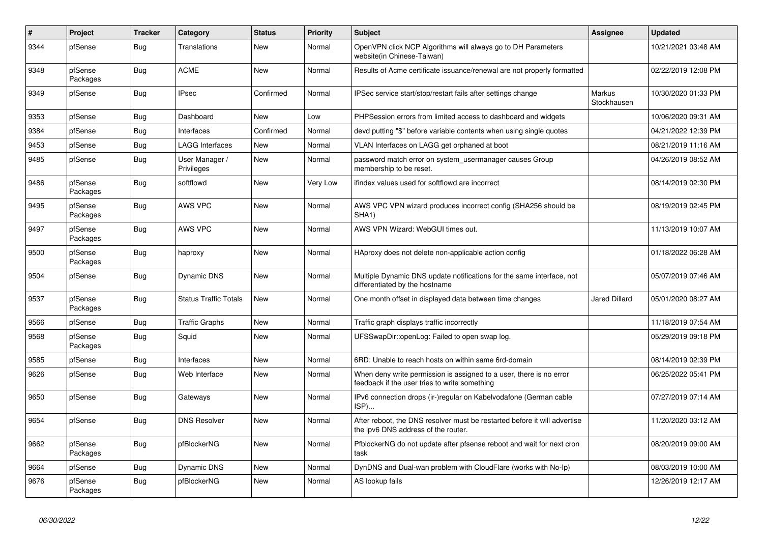| #    | Project             | <b>Tracker</b> | Category                     | <b>Status</b> | <b>Priority</b> | <b>Subject</b>                                                                                                       | <b>Assignee</b>       | <b>Updated</b>      |
|------|---------------------|----------------|------------------------------|---------------|-----------------|----------------------------------------------------------------------------------------------------------------------|-----------------------|---------------------|
| 9344 | pfSense             | <b>Bug</b>     | Translations                 | New           | Normal          | OpenVPN click NCP Algorithms will always go to DH Parameters<br>website(in Chinese-Taiwan)                           |                       | 10/21/2021 03:48 AM |
| 9348 | pfSense<br>Packages | <b>Bug</b>     | <b>ACME</b>                  | New           | Normal          | Results of Acme certificate issuance/renewal are not properly formatted                                              |                       | 02/22/2019 12:08 PM |
| 9349 | pfSense             | <b>Bug</b>     | <b>IPsec</b>                 | Confirmed     | Normal          | IPSec service start/stop/restart fails after settings change                                                         | Markus<br>Stockhausen | 10/30/2020 01:33 PM |
| 9353 | pfSense             | <b>Bug</b>     | Dashboard                    | New           | Low             | PHPSession errors from limited access to dashboard and widgets                                                       |                       | 10/06/2020 09:31 AM |
| 9384 | pfSense             | <b>Bug</b>     | Interfaces                   | Confirmed     | Normal          | devd putting "\$" before variable contents when using single quotes                                                  |                       | 04/21/2022 12:39 PM |
| 9453 | pfSense             | <b>Bug</b>     | LAGG Interfaces              | New           | Normal          | VLAN Interfaces on LAGG get orphaned at boot                                                                         |                       | 08/21/2019 11:16 AM |
| 9485 | pfSense             | <b>Bug</b>     | User Manager /<br>Privileges | <b>New</b>    | Normal          | password match error on system usermanager causes Group<br>membership to be reset.                                   |                       | 04/26/2019 08:52 AM |
| 9486 | pfSense<br>Packages | <b>Bug</b>     | softflowd                    | New           | Very Low        | ifindex values used for softflowd are incorrect                                                                      |                       | 08/14/2019 02:30 PM |
| 9495 | pfSense<br>Packages | <b>Bug</b>     | AWS VPC                      | <b>New</b>    | Normal          | AWS VPC VPN wizard produces incorrect config (SHA256 should be<br>SHA <sub>1</sub> )                                 |                       | 08/19/2019 02:45 PM |
| 9497 | pfSense<br>Packages | <b>Bug</b>     | AWS VPC                      | <b>New</b>    | Normal          | AWS VPN Wizard: WebGUI times out.                                                                                    |                       | 11/13/2019 10:07 AM |
| 9500 | pfSense<br>Packages | <b>Bug</b>     | haproxy                      | <b>New</b>    | Normal          | HAproxy does not delete non-applicable action config                                                                 |                       | 01/18/2022 06:28 AM |
| 9504 | pfSense             | Bug            | <b>Dynamic DNS</b>           | New           | Normal          | Multiple Dynamic DNS update notifications for the same interface, not<br>differentiated by the hostname              |                       | 05/07/2019 07:46 AM |
| 9537 | pfSense<br>Packages | <b>Bug</b>     | <b>Status Traffic Totals</b> | New           | Normal          | One month offset in displayed data between time changes                                                              | <b>Jared Dillard</b>  | 05/01/2020 08:27 AM |
| 9566 | pfSense             | <b>Bug</b>     | <b>Traffic Graphs</b>        | <b>New</b>    | Normal          | Traffic graph displays traffic incorrectly                                                                           |                       | 11/18/2019 07:54 AM |
| 9568 | pfSense<br>Packages | <b>Bug</b>     | Squid                        | New           | Normal          | UFSSwapDir::openLog: Failed to open swap log.                                                                        |                       | 05/29/2019 09:18 PM |
| 9585 | pfSense             | Bug            | Interfaces                   | New           | Normal          | 6RD: Unable to reach hosts on within same 6rd-domain                                                                 |                       | 08/14/2019 02:39 PM |
| 9626 | pfSense             | <b>Bug</b>     | Web Interface                | New           | Normal          | When deny write permission is assigned to a user, there is no error<br>feedback if the user tries to write something |                       | 06/25/2022 05:41 PM |
| 9650 | pfSense             | <b>Bug</b>     | Gateways                     | New           | Normal          | IPv6 connection drops (ir-)regular on Kabelvodafone (German cable<br>ISP)                                            |                       | 07/27/2019 07:14 AM |
| 9654 | pfSense             | <b>Bug</b>     | <b>DNS Resolver</b>          | <b>New</b>    | Normal          | After reboot, the DNS resolver must be restarted before it will advertise<br>the ipv6 DNS address of the router.     |                       | 11/20/2020 03:12 AM |
| 9662 | pfSense<br>Packages | <b>Bug</b>     | pfBlockerNG                  | <b>New</b>    | Normal          | PfblockerNG do not update after pfsense reboot and wait for next cron<br>task                                        |                       | 08/20/2019 09:00 AM |
| 9664 | pfSense             | Bug            | <b>Dynamic DNS</b>           | New           | Normal          | DynDNS and Dual-wan problem with CloudFlare (works with No-Ip)                                                       |                       | 08/03/2019 10:00 AM |
| 9676 | pfSense<br>Packages | Bug            | pfBlockerNG                  | New           | Normal          | AS lookup fails                                                                                                      |                       | 12/26/2019 12:17 AM |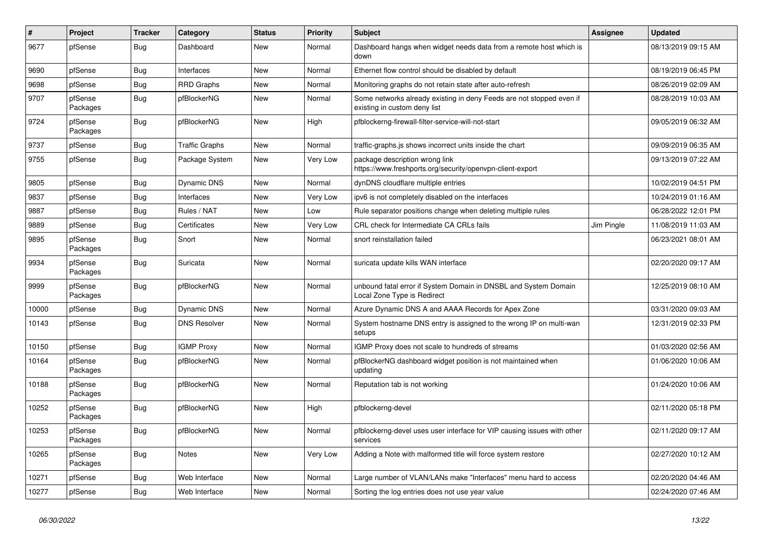| $\#$  | Project             | <b>Tracker</b> | Category              | <b>Status</b> | Priority | <b>Subject</b>                                                                                       | <b>Assignee</b> | <b>Updated</b>      |
|-------|---------------------|----------------|-----------------------|---------------|----------|------------------------------------------------------------------------------------------------------|-----------------|---------------------|
| 9677  | pfSense             | Bug            | Dashboard             | <b>New</b>    | Normal   | Dashboard hangs when widget needs data from a remote host which is<br>down                           |                 | 08/13/2019 09:15 AM |
| 9690  | pfSense             | <b>Bug</b>     | Interfaces            | <b>New</b>    | Normal   | Ethernet flow control should be disabled by default                                                  |                 | 08/19/2019 06:45 PM |
| 9698  | pfSense             | <b>Bug</b>     | <b>RRD Graphs</b>     | <b>New</b>    | Normal   | Monitoring graphs do not retain state after auto-refresh                                             |                 | 08/26/2019 02:09 AM |
| 9707  | pfSense<br>Packages | <b>Bug</b>     | pfBlockerNG           | <b>New</b>    | Normal   | Some networks already existing in deny Feeds are not stopped even if<br>existing in custom deny list |                 | 08/28/2019 10:03 AM |
| 9724  | pfSense<br>Packages | <b>Bug</b>     | pfBlockerNG           | <b>New</b>    | High     | pfblockerng-firewall-filter-service-will-not-start                                                   |                 | 09/05/2019 06:32 AM |
| 9737  | pfSense             | <b>Bug</b>     | <b>Traffic Graphs</b> | <b>New</b>    | Normal   | traffic-graphs.js shows incorrect units inside the chart                                             |                 | 09/09/2019 06:35 AM |
| 9755  | pfSense             | Bug            | Package System        | New           | Very Low | package description wrong link<br>https://www.freshports.org/security/openvpn-client-export          |                 | 09/13/2019 07:22 AM |
| 9805  | pfSense             | <b>Bug</b>     | <b>Dynamic DNS</b>    | <b>New</b>    | Normal   | dynDNS cloudflare multiple entries                                                                   |                 | 10/02/2019 04:51 PM |
| 9837  | pfSense             | <b>Bug</b>     | Interfaces            | New           | Very Low | ipv6 is not completely disabled on the interfaces                                                    |                 | 10/24/2019 01:16 AM |
| 9887  | pfSense             | <b>Bug</b>     | Rules / NAT           | <b>New</b>    | Low      | Rule separator positions change when deleting multiple rules                                         |                 | 06/28/2022 12:01 PM |
| 9889  | pfSense             | <b>Bug</b>     | Certificates          | <b>New</b>    | Very Low | CRL check for Intermediate CA CRLs fails                                                             | Jim Pingle      | 11/08/2019 11:03 AM |
| 9895  | pfSense<br>Packages | <b>Bug</b>     | Snort                 | <b>New</b>    | Normal   | snort reinstallation failed                                                                          |                 | 06/23/2021 08:01 AM |
| 9934  | pfSense<br>Packages | <b>Bug</b>     | Suricata              | <b>New</b>    | Normal   | suricata update kills WAN interface                                                                  |                 | 02/20/2020 09:17 AM |
| 9999  | pfSense<br>Packages | <b>Bug</b>     | pfBlockerNG           | <b>New</b>    | Normal   | unbound fatal error if System Domain in DNSBL and System Domain<br>Local Zone Type is Redirect       |                 | 12/25/2019 08:10 AM |
| 10000 | pfSense             | <b>Bug</b>     | <b>Dynamic DNS</b>    | <b>New</b>    | Normal   | Azure Dynamic DNS A and AAAA Records for Apex Zone                                                   |                 | 03/31/2020 09:03 AM |
| 10143 | pfSense             | <b>Bug</b>     | <b>DNS Resolver</b>   | <b>New</b>    | Normal   | System hostname DNS entry is assigned to the wrong IP on multi-wan<br>setups                         |                 | 12/31/2019 02:33 PM |
| 10150 | pfSense             | Bug            | <b>IGMP Proxy</b>     | <b>New</b>    | Normal   | IGMP Proxy does not scale to hundreds of streams                                                     |                 | 01/03/2020 02:56 AM |
| 10164 | pfSense<br>Packages | <b>Bug</b>     | pfBlockerNG           | <b>New</b>    | Normal   | pfBlockerNG dashboard widget position is not maintained when<br>updating                             |                 | 01/06/2020 10:06 AM |
| 10188 | pfSense<br>Packages | <b>Bug</b>     | pfBlockerNG           | <b>New</b>    | Normal   | Reputation tab is not working                                                                        |                 | 01/24/2020 10:06 AM |
| 10252 | pfSense<br>Packages | <b>Bug</b>     | pfBlockerNG           | New           | High     | pfblockerng-devel                                                                                    |                 | 02/11/2020 05:18 PM |
| 10253 | pfSense<br>Packages | <b>Bug</b>     | pfBlockerNG           | <b>New</b>    | Normal   | pfblockerng-devel uses user interface for VIP causing issues with other<br>services                  |                 | 02/11/2020 09:17 AM |
| 10265 | pfSense<br>Packages | Bug            | Notes                 | New           | Very Low | Adding a Note with malformed title will force system restore                                         |                 | 02/27/2020 10:12 AM |
| 10271 | pfSense             | <b>Bug</b>     | Web Interface         | <b>New</b>    | Normal   | Large number of VLAN/LANs make "Interfaces" menu hard to access                                      |                 | 02/20/2020 04:46 AM |
| 10277 | pfSense             | Bug            | Web Interface         | <b>New</b>    | Normal   | Sorting the log entries does not use year value                                                      |                 | 02/24/2020 07:46 AM |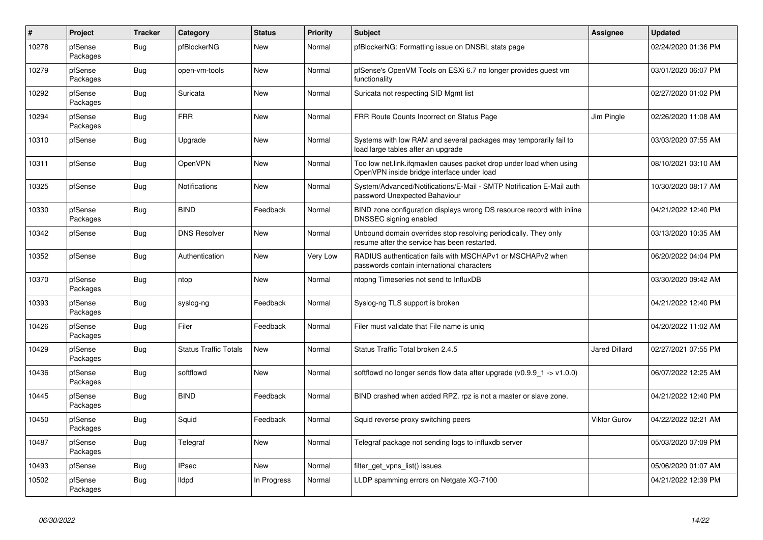| $\sharp$ | <b>Project</b>      | <b>Tracker</b> | Category                     | <b>Status</b> | Priority | <b>Subject</b>                                                                                                    | Assignee      | <b>Updated</b>      |
|----------|---------------------|----------------|------------------------------|---------------|----------|-------------------------------------------------------------------------------------------------------------------|---------------|---------------------|
| 10278    | pfSense<br>Packages | Bug            | pfBlockerNG                  | <b>New</b>    | Normal   | pfBlockerNG: Formatting issue on DNSBL stats page                                                                 |               | 02/24/2020 01:36 PM |
| 10279    | pfSense<br>Packages | Bug            | open-vm-tools                | <b>New</b>    | Normal   | pfSense's OpenVM Tools on ESXi 6.7 no longer provides guest vm<br>functionality                                   |               | 03/01/2020 06:07 PM |
| 10292    | pfSense<br>Packages | <b>Bug</b>     | Suricata                     | <b>New</b>    | Normal   | Suricata not respecting SID Mgmt list                                                                             |               | 02/27/2020 01:02 PM |
| 10294    | pfSense<br>Packages | <b>Bug</b>     | <b>FRR</b>                   | <b>New</b>    | Normal   | FRR Route Counts Incorrect on Status Page                                                                         | Jim Pingle    | 02/26/2020 11:08 AM |
| 10310    | pfSense             | Bug            | Upgrade                      | <b>New</b>    | Normal   | Systems with low RAM and several packages may temporarily fail to<br>load large tables after an upgrade           |               | 03/03/2020 07:55 AM |
| 10311    | pfSense             | <b>Bug</b>     | <b>OpenVPN</b>               | <b>New</b>    | Normal   | Too low net.link.ifqmaxlen causes packet drop under load when using<br>OpenVPN inside bridge interface under load |               | 08/10/2021 03:10 AM |
| 10325    | pfSense             | Bug            | Notifications                | New           | Normal   | System/Advanced/Notifications/E-Mail - SMTP Notification E-Mail auth<br>password Unexpected Bahaviour             |               | 10/30/2020 08:17 AM |
| 10330    | pfSense<br>Packages | Bug            | <b>BIND</b>                  | Feedback      | Normal   | BIND zone configuration displays wrong DS resource record with inline<br>DNSSEC signing enabled                   |               | 04/21/2022 12:40 PM |
| 10342    | pfSense             | <b>Bug</b>     | <b>DNS Resolver</b>          | <b>New</b>    | Normal   | Unbound domain overrides stop resolving periodically. They only<br>resume after the service has been restarted.   |               | 03/13/2020 10:35 AM |
| 10352    | pfSense             | Bug            | Authentication               | New           | Very Low | RADIUS authentication fails with MSCHAPv1 or MSCHAPv2 when<br>passwords contain international characters          |               | 06/20/2022 04:04 PM |
| 10370    | pfSense<br>Packages | <b>Bug</b>     | ntop                         | <b>New</b>    | Normal   | ntopng Timeseries not send to InfluxDB                                                                            |               | 03/30/2020 09:42 AM |
| 10393    | pfSense<br>Packages | Bug            | syslog-ng                    | Feedback      | Normal   | Syslog-ng TLS support is broken                                                                                   |               | 04/21/2022 12:40 PM |
| 10426    | pfSense<br>Packages | <b>Bug</b>     | Filer                        | Feedback      | Normal   | Filer must validate that File name is uniq                                                                        |               | 04/20/2022 11:02 AM |
| 10429    | pfSense<br>Packages | <b>Bug</b>     | <b>Status Traffic Totals</b> | New           | Normal   | Status Traffic Total broken 2.4.5                                                                                 | Jared Dillard | 02/27/2021 07:55 PM |
| 10436    | pfSense<br>Packages | Bug            | softflowd                    | New           | Normal   | softflowd no longer sends flow data after upgrade ( $v0.9.9$ 1 -> $v1.0.0$ )                                      |               | 06/07/2022 12:25 AM |
| 10445    | pfSense<br>Packages | Bug            | <b>BIND</b>                  | Feedback      | Normal   | BIND crashed when added RPZ. rpz is not a master or slave zone.                                                   |               | 04/21/2022 12:40 PM |
| 10450    | pfSense<br>Packages | <b>Bug</b>     | Squid                        | Feedback      | Normal   | Squid reverse proxy switching peers                                                                               | Viktor Gurov  | 04/22/2022 02:21 AM |
| 10487    | pfSense<br>Packages | <b>Bug</b>     | Telegraf                     | New           | Normal   | Telegraf package not sending logs to influxdb server                                                              |               | 05/03/2020 07:09 PM |
| 10493    | pfSense             | Bug            | <b>IPsec</b>                 | <b>New</b>    | Normal   | filter get vpns list() issues                                                                                     |               | 05/06/2020 01:07 AM |
| 10502    | pfSense<br>Packages | Bug            | <b>Ildpd</b>                 | In Progress   | Normal   | LLDP spamming errors on Netgate XG-7100                                                                           |               | 04/21/2022 12:39 PM |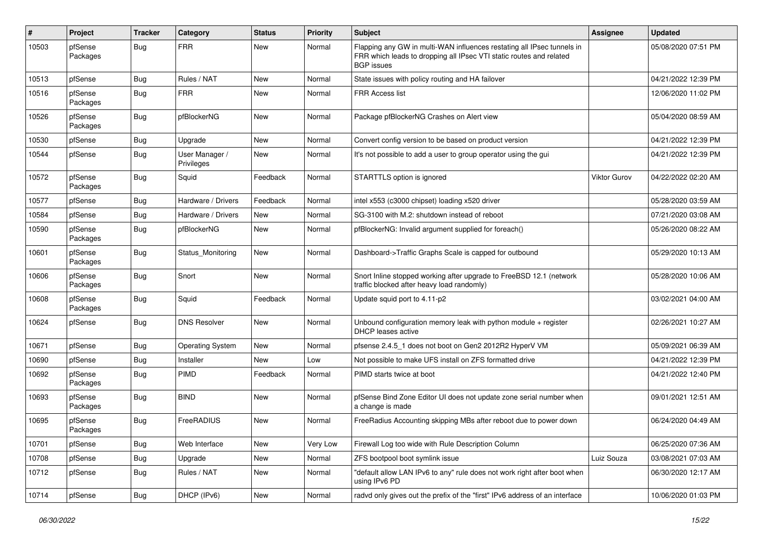| ∦     | Project             | <b>Tracker</b> | Category                     | <b>Status</b> | <b>Priority</b> | Subject                                                                                                                                                            | <b>Assignee</b>     | <b>Updated</b>      |
|-------|---------------------|----------------|------------------------------|---------------|-----------------|--------------------------------------------------------------------------------------------------------------------------------------------------------------------|---------------------|---------------------|
| 10503 | pfSense<br>Packages | Bug            | <b>FRR</b>                   | New           | Normal          | Flapping any GW in multi-WAN influences restating all IPsec tunnels in<br>FRR which leads to dropping all IPsec VTI static routes and related<br><b>BGP</b> issues |                     | 05/08/2020 07:51 PM |
| 10513 | pfSense             | <b>Bug</b>     | Rules / NAT                  | New           | Normal          | State issues with policy routing and HA failover                                                                                                                   |                     | 04/21/2022 12:39 PM |
| 10516 | pfSense<br>Packages | <b>Bug</b>     | <b>FRR</b>                   | New           | Normal          | <b>FRR Access list</b>                                                                                                                                             |                     | 12/06/2020 11:02 PM |
| 10526 | pfSense<br>Packages | <b>Bug</b>     | pfBlockerNG                  | New           | Normal          | Package pfBlockerNG Crashes on Alert view                                                                                                                          |                     | 05/04/2020 08:59 AM |
| 10530 | pfSense             | Bug            | Upgrade                      | New           | Normal          | Convert config version to be based on product version                                                                                                              |                     | 04/21/2022 12:39 PM |
| 10544 | pfSense             | <b>Bug</b>     | User Manager /<br>Privileges | New           | Normal          | It's not possible to add a user to group operator using the gui                                                                                                    |                     | 04/21/2022 12:39 PM |
| 10572 | pfSense<br>Packages | Bug            | Squid                        | Feedback      | Normal          | STARTTLS option is ignored                                                                                                                                         | <b>Viktor Gurov</b> | 04/22/2022 02:20 AM |
| 10577 | pfSense             | Bug            | Hardware / Drivers           | Feedback      | Normal          | intel x553 (c3000 chipset) loading x520 driver                                                                                                                     |                     | 05/28/2020 03:59 AM |
| 10584 | pfSense             | Bug            | Hardware / Drivers           | New           | Normal          | SG-3100 with M.2: shutdown instead of reboot                                                                                                                       |                     | 07/21/2020 03:08 AM |
| 10590 | pfSense<br>Packages | <b>Bug</b>     | pfBlockerNG                  | New           | Normal          | pfBlockerNG: Invalid argument supplied for foreach()                                                                                                               |                     | 05/26/2020 08:22 AM |
| 10601 | pfSense<br>Packages | <b>Bug</b>     | Status Monitoring            | New           | Normal          | Dashboard->Traffic Graphs Scale is capped for outbound                                                                                                             |                     | 05/29/2020 10:13 AM |
| 10606 | pfSense<br>Packages | <b>Bug</b>     | Snort                        | New           | Normal          | Snort Inline stopped working after upgrade to FreeBSD 12.1 (network<br>traffic blocked after heavy load randomly)                                                  |                     | 05/28/2020 10:06 AM |
| 10608 | pfSense<br>Packages | <b>Bug</b>     | Squid                        | Feedback      | Normal          | Update squid port to 4.11-p2                                                                                                                                       |                     | 03/02/2021 04:00 AM |
| 10624 | pfSense             | <b>Bug</b>     | <b>DNS Resolver</b>          | New           | Normal          | Unbound configuration memory leak with python module + register<br>DHCP leases active                                                                              |                     | 02/26/2021 10:27 AM |
| 10671 | pfSense             | <b>Bug</b>     | <b>Operating System</b>      | New           | Normal          | pfsense 2.4.5_1 does not boot on Gen2 2012R2 HyperV VM                                                                                                             |                     | 05/09/2021 06:39 AM |
| 10690 | pfSense             | <b>Bug</b>     | Installer                    | <b>New</b>    | Low             | Not possible to make UFS install on ZFS formatted drive                                                                                                            |                     | 04/21/2022 12:39 PM |
| 10692 | pfSense<br>Packages | Bug            | PIMD                         | Feedback      | Normal          | PIMD starts twice at boot                                                                                                                                          |                     | 04/21/2022 12:40 PM |
| 10693 | pfSense<br>Packages | Bug            | <b>BIND</b>                  | New           | Normal          | pfSense Bind Zone Editor UI does not update zone serial number when<br>a change is made                                                                            |                     | 09/01/2021 12:51 AM |
| 10695 | pfSense<br>Packages | <b>Bug</b>     | FreeRADIUS                   | <b>New</b>    | Normal          | FreeRadius Accounting skipping MBs after reboot due to power down                                                                                                  |                     | 06/24/2020 04:49 AM |
| 10701 | pfSense             | Bug            | Web Interface                | New           | Very Low        | Firewall Log too wide with Rule Description Column                                                                                                                 |                     | 06/25/2020 07:36 AM |
| 10708 | pfSense             | <b>Bug</b>     | Upgrade                      | New           | Normal          | ZFS bootpool boot symlink issue                                                                                                                                    | Luiz Souza          | 03/08/2021 07:03 AM |
| 10712 | pfSense             | <b>Bug</b>     | Rules / NAT                  | New           | Normal          | "default allow LAN IPv6 to any" rule does not work right after boot when<br>using IPv6 PD                                                                          |                     | 06/30/2020 12:17 AM |
| 10714 | pfSense             | <b>Bug</b>     | DHCP (IPv6)                  | New           | Normal          | radvd only gives out the prefix of the "first" IPv6 address of an interface                                                                                        |                     | 10/06/2020 01:03 PM |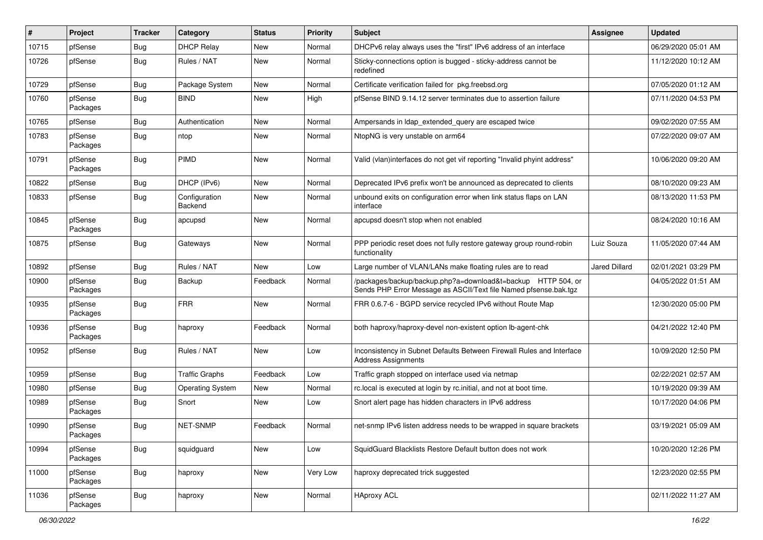| #     | Project             | <b>Tracker</b> | Category                 | <b>Status</b> | <b>Priority</b> | <b>Subject</b>                                                                                                                   | <b>Assignee</b>      | <b>Updated</b>      |
|-------|---------------------|----------------|--------------------------|---------------|-----------------|----------------------------------------------------------------------------------------------------------------------------------|----------------------|---------------------|
| 10715 | pfSense             | <b>Bug</b>     | <b>DHCP Relay</b>        | New           | Normal          | DHCPv6 relay always uses the "first" IPv6 address of an interface                                                                |                      | 06/29/2020 05:01 AM |
| 10726 | pfSense             | <b>Bug</b>     | Rules / NAT              | New           | Normal          | Sticky-connections option is bugged - sticky-address cannot be<br>redefined                                                      |                      | 11/12/2020 10:12 AM |
| 10729 | pfSense             | Bug            | Package System           | New           | Normal          | Certificate verification failed for pkg.freebsd.org                                                                              |                      | 07/05/2020 01:12 AM |
| 10760 | pfSense<br>Packages | <b>Bug</b>     | <b>BIND</b>              | New           | High            | pfSense BIND 9.14.12 server terminates due to assertion failure                                                                  |                      | 07/11/2020 04:53 PM |
| 10765 | pfSense             | <b>Bug</b>     | Authentication           | New           | Normal          | Ampersands in Idap_extended_query are escaped twice                                                                              |                      | 09/02/2020 07:55 AM |
| 10783 | pfSense<br>Packages | Bug            | ntop                     | New           | Normal          | NtopNG is very unstable on arm64                                                                                                 |                      | 07/22/2020 09:07 AM |
| 10791 | pfSense<br>Packages | Bug            | PIMD                     | New           | Normal          | Valid (vlan)interfaces do not get vif reporting "Invalid phyint address"                                                         |                      | 10/06/2020 09:20 AM |
| 10822 | pfSense             | <b>Bug</b>     | DHCP (IPv6)              | New           | Normal          | Deprecated IPv6 prefix won't be announced as deprecated to clients                                                               |                      | 08/10/2020 09:23 AM |
| 10833 | pfSense             | Bug            | Configuration<br>Backend | New           | Normal          | unbound exits on configuration error when link status flaps on LAN<br>interface                                                  |                      | 08/13/2020 11:53 PM |
| 10845 | pfSense<br>Packages | Bug            | apcupsd                  | New           | Normal          | apcupsd doesn't stop when not enabled                                                                                            |                      | 08/24/2020 10:16 AM |
| 10875 | pfSense             | <b>Bug</b>     | Gateways                 | New           | Normal          | PPP periodic reset does not fully restore gateway group round-robin<br>functionality                                             | Luiz Souza           | 11/05/2020 07:44 AM |
| 10892 | pfSense             | Bug            | Rules / NAT              | New           | Low             | Large number of VLAN/LANs make floating rules are to read                                                                        | <b>Jared Dillard</b> | 02/01/2021 03:29 PM |
| 10900 | pfSense<br>Packages | Bug            | Backup                   | Feedback      | Normal          | /packages/backup/backup.php?a=download&t=backup HTTP 504, or<br>Sends PHP Error Message as ASCII/Text file Named pfsense.bak.tgz |                      | 04/05/2022 01:51 AM |
| 10935 | pfSense<br>Packages | Bug            | <b>FRR</b>               | New           | Normal          | FRR 0.6.7-6 - BGPD service recycled IPv6 without Route Map                                                                       |                      | 12/30/2020 05:00 PM |
| 10936 | pfSense<br>Packages | <b>Bug</b>     | haproxy                  | Feedback      | Normal          | both haproxy/haproxy-devel non-existent option lb-agent-chk                                                                      |                      | 04/21/2022 12:40 PM |
| 10952 | pfSense             | Bug            | Rules / NAT              | New           | Low             | Inconsistency in Subnet Defaults Between Firewall Rules and Interface<br><b>Address Assignments</b>                              |                      | 10/09/2020 12:50 PM |
| 10959 | pfSense             | <b>Bug</b>     | <b>Traffic Graphs</b>    | Feedback      | Low             | Traffic graph stopped on interface used via netmap                                                                               |                      | 02/22/2021 02:57 AM |
| 10980 | pfSense             | Bug            | <b>Operating System</b>  | New           | Normal          | rc.local is executed at login by rc.initial, and not at boot time.                                                               |                      | 10/19/2020 09:39 AM |
| 10989 | pfSense<br>Packages | <b>Bug</b>     | Snort                    | New           | Low             | Snort alert page has hidden characters in IPv6 address                                                                           |                      | 10/17/2020 04:06 PM |
| 10990 | pfSense<br>Packages | Bug            | NET-SNMP                 | Feedback      | Normal          | net-snmp IPv6 listen address needs to be wrapped in square brackets                                                              |                      | 03/19/2021 05:09 AM |
| 10994 | pfSense<br>Packages | <b>Bug</b>     | squidguard               | <b>New</b>    | Low             | SquidGuard Blacklists Restore Default button does not work                                                                       |                      | 10/20/2020 12:26 PM |
| 11000 | pfSense<br>Packages | <b>Bug</b>     | haproxy                  | New           | Very Low        | haproxy deprecated trick suggested                                                                                               |                      | 12/23/2020 02:55 PM |
| 11036 | pfSense<br>Packages | Bug            | haproxy                  | New           | Normal          | <b>HAproxy ACL</b>                                                                                                               |                      | 02/11/2022 11:27 AM |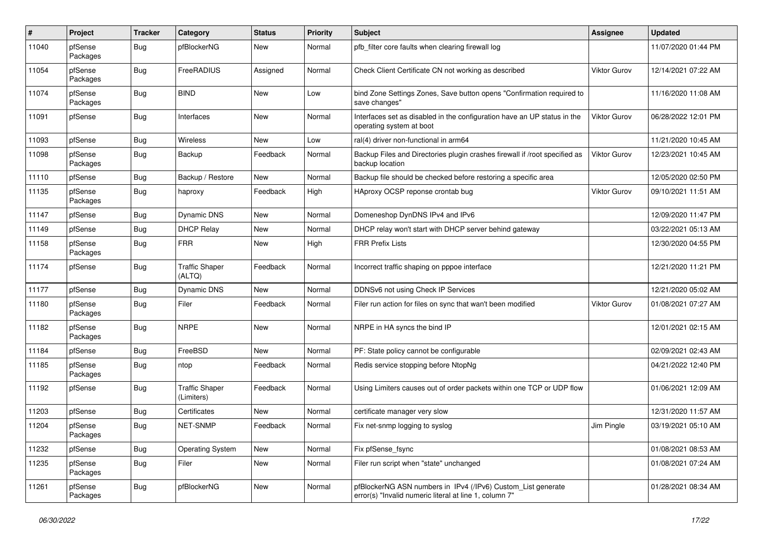| $\pmb{\#}$ | Project             | <b>Tracker</b> | Category                            | <b>Status</b> | <b>Priority</b> | <b>Subject</b>                                                                                                         | Assignee            | <b>Updated</b>      |
|------------|---------------------|----------------|-------------------------------------|---------------|-----------------|------------------------------------------------------------------------------------------------------------------------|---------------------|---------------------|
| 11040      | pfSense<br>Packages | Bug            | pfBlockerNG                         | New           | Normal          | pfb filter core faults when clearing firewall log                                                                      |                     | 11/07/2020 01:44 PM |
| 11054      | pfSense<br>Packages | <b>Bug</b>     | FreeRADIUS                          | Assigned      | Normal          | Check Client Certificate CN not working as described                                                                   | Viktor Gurov        | 12/14/2021 07:22 AM |
| 11074      | pfSense<br>Packages | <b>Bug</b>     | <b>BIND</b>                         | <b>New</b>    | Low             | bind Zone Settings Zones, Save button opens "Confirmation required to<br>save changes"                                 |                     | 11/16/2020 11:08 AM |
| 11091      | pfSense             | Bug            | Interfaces                          | <b>New</b>    | Normal          | Interfaces set as disabled in the configuration have an UP status in the<br>operating system at boot                   | <b>Viktor Gurov</b> | 06/28/2022 12:01 PM |
| 11093      | pfSense             | Bug            | Wireless                            | <b>New</b>    | Low             | ral(4) driver non-functional in arm64                                                                                  |                     | 11/21/2020 10:45 AM |
| 11098      | pfSense<br>Packages | <b>Bug</b>     | Backup                              | Feedback      | Normal          | Backup Files and Directories plugin crashes firewall if /root specified as<br>backup location                          | <b>Viktor Gurov</b> | 12/23/2021 10:45 AM |
| 11110      | pfSense             | Bug            | Backup / Restore                    | <b>New</b>    | Normal          | Backup file should be checked before restoring a specific area                                                         |                     | 12/05/2020 02:50 PM |
| 11135      | pfSense<br>Packages | <b>Bug</b>     | haproxy                             | Feedback      | High            | HAproxy OCSP reponse crontab bug                                                                                       | <b>Viktor Gurov</b> | 09/10/2021 11:51 AM |
| 11147      | pfSense             | Bug            | Dynamic DNS                         | <b>New</b>    | Normal          | Domeneshop DynDNS IPv4 and IPv6                                                                                        |                     | 12/09/2020 11:47 PM |
| 11149      | pfSense             | Bug            | <b>DHCP Relay</b>                   | New           | Normal          | DHCP relay won't start with DHCP server behind gateway                                                                 |                     | 03/22/2021 05:13 AM |
| 11158      | pfSense<br>Packages | Bug            | <b>FRR</b>                          | <b>New</b>    | High            | <b>FRR Prefix Lists</b>                                                                                                |                     | 12/30/2020 04:55 PM |
| 11174      | pfSense             | Bug            | <b>Traffic Shaper</b><br>(ALTQ)     | Feedback      | Normal          | Incorrect traffic shaping on pppoe interface                                                                           |                     | 12/21/2020 11:21 PM |
| 11177      | pfSense             | <b>Bug</b>     | Dynamic DNS                         | <b>New</b>    | Normal          | DDNSv6 not using Check IP Services                                                                                     |                     | 12/21/2020 05:02 AM |
| 11180      | pfSense<br>Packages | <b>Bug</b>     | Filer                               | Feedback      | Normal          | Filer run action for files on sync that wan't been modified                                                            | Viktor Gurov        | 01/08/2021 07:27 AM |
| 11182      | pfSense<br>Packages | Bug            | <b>NRPE</b>                         | <b>New</b>    | Normal          | NRPE in HA syncs the bind IP                                                                                           |                     | 12/01/2021 02:15 AM |
| 11184      | pfSense             | <b>Bug</b>     | FreeBSD                             | <b>New</b>    | Normal          | PF: State policy cannot be configurable                                                                                |                     | 02/09/2021 02:43 AM |
| 11185      | pfSense<br>Packages | Bug            | ntop                                | Feedback      | Normal          | Redis service stopping before NtopNg                                                                                   |                     | 04/21/2022 12:40 PM |
| 11192      | pfSense             | <b>Bug</b>     | <b>Traffic Shaper</b><br>(Limiters) | Feedback      | Normal          | Using Limiters causes out of order packets within one TCP or UDP flow                                                  |                     | 01/06/2021 12:09 AM |
| 11203      | pfSense             | <b>Bug</b>     | Certificates                        | <b>New</b>    | Normal          | certificate manager very slow                                                                                          |                     | 12/31/2020 11:57 AM |
| 11204      | pfSense<br>Packages | <b>Bug</b>     | <b>NET-SNMP</b>                     | Feedback      | Normal          | Fix net-snmp logging to syslog                                                                                         | Jim Pingle          | 03/19/2021 05:10 AM |
| 11232      | pfSense             | <b>Bug</b>     | <b>Operating System</b>             | New           | Normal          | Fix pfSense_fsync                                                                                                      |                     | 01/08/2021 08:53 AM |
| 11235      | pfSense<br>Packages | Bug            | Filer                               | New           | Normal          | Filer run script when "state" unchanged                                                                                |                     | 01/08/2021 07:24 AM |
| 11261      | pfSense<br>Packages | Bug            | pfBlockerNG                         | New           | Normal          | pfBlockerNG ASN numbers in IPv4 (/IPv6) Custom_List generate<br>error(s) "Invalid numeric literal at line 1, column 7" |                     | 01/28/2021 08:34 AM |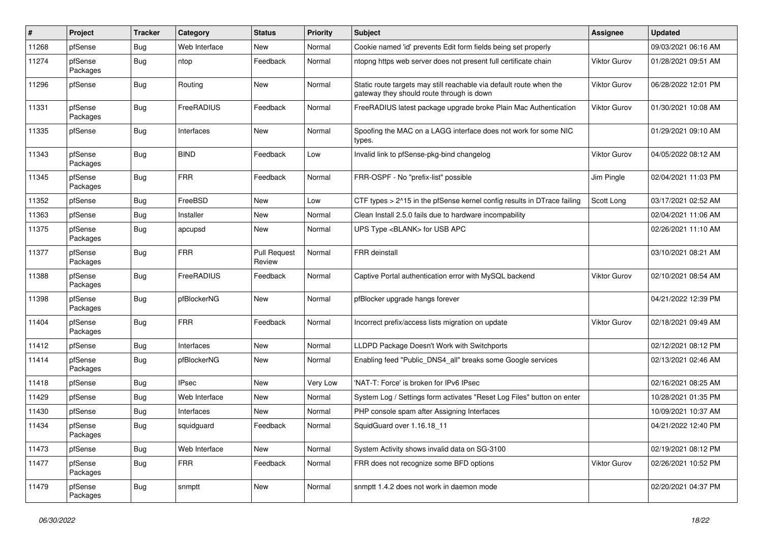| #     | Project             | <b>Tracker</b> | Category      | <b>Status</b>                 | <b>Priority</b> | <b>Subject</b>                                                                                                   | Assignee            | <b>Updated</b>      |
|-------|---------------------|----------------|---------------|-------------------------------|-----------------|------------------------------------------------------------------------------------------------------------------|---------------------|---------------------|
| 11268 | pfSense             | Bug            | Web Interface | New                           | Normal          | Cookie named 'id' prevents Edit form fields being set properly                                                   |                     | 09/03/2021 06:16 AM |
| 11274 | pfSense<br>Packages | <b>Bug</b>     | ntop          | Feedback                      | Normal          | ntopng https web server does not present full certificate chain                                                  | <b>Viktor Gurov</b> | 01/28/2021 09:51 AM |
| 11296 | pfSense             | <b>Bug</b>     | Routing       | New                           | Normal          | Static route targets may still reachable via default route when the<br>gateway they should route through is down | <b>Viktor Gurov</b> | 06/28/2022 12:01 PM |
| 11331 | pfSense<br>Packages | Bug            | FreeRADIUS    | Feedback                      | Normal          | FreeRADIUS latest package upgrade broke Plain Mac Authentication                                                 | <b>Viktor Gurov</b> | 01/30/2021 10:08 AM |
| 11335 | pfSense             | Bug            | Interfaces    | New                           | Normal          | Spoofing the MAC on a LAGG interface does not work for some NIC<br>types.                                        |                     | 01/29/2021 09:10 AM |
| 11343 | pfSense<br>Packages | Bug            | <b>BIND</b>   | Feedback                      | Low             | Invalid link to pfSense-pkg-bind changelog                                                                       | Viktor Gurov        | 04/05/2022 08:12 AM |
| 11345 | pfSense<br>Packages | Bug            | <b>FRR</b>    | Feedback                      | Normal          | FRR-OSPF - No "prefix-list" possible                                                                             | Jim Pingle          | 02/04/2021 11:03 PM |
| 11352 | pfSense             | Bug            | FreeBSD       | New                           | Low             | CTF types > 2^15 in the pfSense kernel config results in DTrace failing                                          | Scott Long          | 03/17/2021 02:52 AM |
| 11363 | pfSense             | <b>Bug</b>     | Installer     | New                           | Normal          | Clean Install 2.5.0 fails due to hardware incompability                                                          |                     | 02/04/2021 11:06 AM |
| 11375 | pfSense<br>Packages | Bug            | apcupsd       | New                           | Normal          | UPS Type <blank> for USB APC</blank>                                                                             |                     | 02/26/2021 11:10 AM |
| 11377 | pfSense<br>Packages | Bug            | <b>FRR</b>    | <b>Pull Request</b><br>Review | Normal          | FRR deinstall                                                                                                    |                     | 03/10/2021 08:21 AM |
| 11388 | pfSense<br>Packages | <b>Bug</b>     | FreeRADIUS    | Feedback                      | Normal          | Captive Portal authentication error with MySQL backend                                                           | Viktor Gurov        | 02/10/2021 08:54 AM |
| 11398 | pfSense<br>Packages | Bug            | pfBlockerNG   | New                           | Normal          | pfBlocker upgrade hangs forever                                                                                  |                     | 04/21/2022 12:39 PM |
| 11404 | pfSense<br>Packages | Bug            | <b>FRR</b>    | Feedback                      | Normal          | Incorrect prefix/access lists migration on update                                                                | Viktor Gurov        | 02/18/2021 09:49 AM |
| 11412 | pfSense             | Bug            | Interfaces    | New                           | Normal          | LLDPD Package Doesn't Work with Switchports                                                                      |                     | 02/12/2021 08:12 PM |
| 11414 | pfSense<br>Packages | Bug            | pfBlockerNG   | New                           | Normal          | Enabling feed "Public_DNS4_all" breaks some Google services                                                      |                     | 02/13/2021 02:46 AM |
| 11418 | pfSense             | <b>Bug</b>     | <b>IPsec</b>  | New                           | Very Low        | 'NAT-T: Force' is broken for IPv6 IPsec                                                                          |                     | 02/16/2021 08:25 AM |
| 11429 | pfSense             | Bug            | Web Interface | New                           | Normal          | System Log / Settings form activates "Reset Log Files" button on enter                                           |                     | 10/28/2021 01:35 PM |
| 11430 | pfSense             | <b>Bug</b>     | Interfaces    | New                           | Normal          | PHP console spam after Assigning Interfaces                                                                      |                     | 10/09/2021 10:37 AM |
| 11434 | pfSense<br>Packages | <b>Bug</b>     | squidguard    | Feedback                      | Normal          | SquidGuard over 1.16.18 11                                                                                       |                     | 04/21/2022 12:40 PM |
| 11473 | pfSense             | <b>Bug</b>     | Web Interface | New                           | Normal          | System Activity shows invalid data on SG-3100                                                                    |                     | 02/19/2021 08:12 PM |
| 11477 | pfSense<br>Packages | <b>Bug</b>     | <b>FRR</b>    | Feedback                      | Normal          | FRR does not recognize some BFD options                                                                          | Viktor Gurov        | 02/26/2021 10:52 PM |
| 11479 | pfSense<br>Packages | <b>Bug</b>     | snmptt        | New                           | Normal          | snmptt 1.4.2 does not work in daemon mode                                                                        |                     | 02/20/2021 04:37 PM |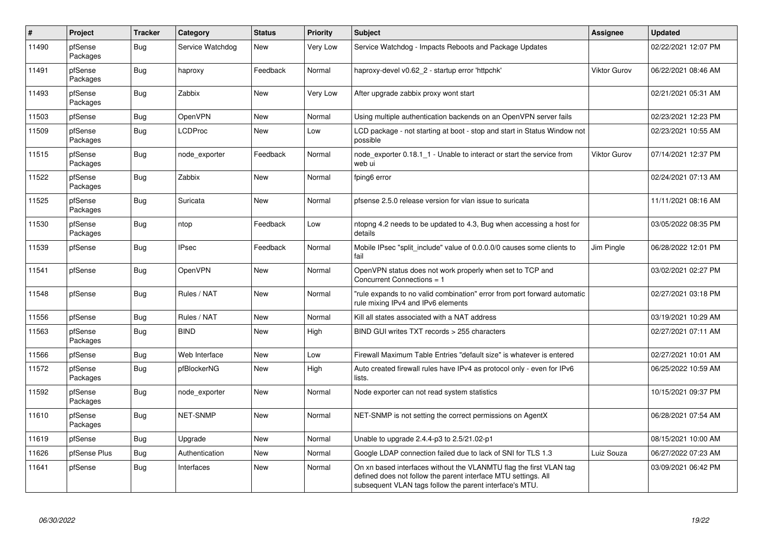| $\vert$ # | <b>Project</b>      | <b>Tracker</b> | Category         | <b>Status</b> | <b>Priority</b> | <b>Subject</b>                                                                                                                                                                                  | Assignee     | <b>Updated</b>      |
|-----------|---------------------|----------------|------------------|---------------|-----------------|-------------------------------------------------------------------------------------------------------------------------------------------------------------------------------------------------|--------------|---------------------|
| 11490     | pfSense<br>Packages | <b>Bug</b>     | Service Watchdog | <b>New</b>    | Very Low        | Service Watchdog - Impacts Reboots and Package Updates                                                                                                                                          |              | 02/22/2021 12:07 PM |
| 11491     | pfSense<br>Packages | Bug            | haproxy          | Feedback      | Normal          | haproxy-devel v0.62 2 - startup error 'httpchk'                                                                                                                                                 | Viktor Gurov | 06/22/2021 08:46 AM |
| 11493     | pfSense<br>Packages | Bug            | Zabbix           | <b>New</b>    | <b>Very Low</b> | After upgrade zabbix proxy wont start                                                                                                                                                           |              | 02/21/2021 05:31 AM |
| 11503     | pfSense             | Bug            | <b>OpenVPN</b>   | <b>New</b>    | Normal          | Using multiple authentication backends on an OpenVPN server fails                                                                                                                               |              | 02/23/2021 12:23 PM |
| 11509     | pfSense<br>Packages | <b>Bug</b>     | LCDProc          | <b>New</b>    | Low             | LCD package - not starting at boot - stop and start in Status Window not<br>possible                                                                                                            |              | 02/23/2021 10:55 AM |
| 11515     | pfSense<br>Packages | <b>Bug</b>     | node exporter    | Feedback      | Normal          | node exporter 0.18.1 1 - Unable to interact or start the service from<br>web ui                                                                                                                 | Viktor Gurov | 07/14/2021 12:37 PM |
| 11522     | pfSense<br>Packages | <b>Bug</b>     | Zabbix           | <b>New</b>    | Normal          | fping6 error                                                                                                                                                                                    |              | 02/24/2021 07:13 AM |
| 11525     | pfSense<br>Packages | Bug            | Suricata         | <b>New</b>    | Normal          | pfsense 2.5.0 release version for vlan issue to suricata                                                                                                                                        |              | 11/11/2021 08:16 AM |
| 11530     | pfSense<br>Packages | Bug            | ntop             | Feedback      | Low             | ntopng 4.2 needs to be updated to 4.3, Bug when accessing a host for<br>details                                                                                                                 |              | 03/05/2022 08:35 PM |
| 11539     | pfSense             | Bug            | <b>IPsec</b>     | Feedback      | Normal          | Mobile IPsec "split include" value of 0.0.0.0/0 causes some clients to<br>fail                                                                                                                  | Jim Pingle   | 06/28/2022 12:01 PM |
| 11541     | pfSense             | Bug            | <b>OpenVPN</b>   | <b>New</b>    | Normal          | OpenVPN status does not work properly when set to TCP and<br>Concurrent Connections = 1                                                                                                         |              | 03/02/2021 02:27 PM |
| 11548     | pfSense             | Bug            | Rules / NAT      | New           | Normal          | "rule expands to no valid combination" error from port forward automatic<br>rule mixing IPv4 and IPv6 elements                                                                                  |              | 02/27/2021 03:18 PM |
| 11556     | pfSense             | Bug            | Rules / NAT      | <b>New</b>    | Normal          | Kill all states associated with a NAT address                                                                                                                                                   |              | 03/19/2021 10:29 AM |
| 11563     | pfSense<br>Packages | <b>Bug</b>     | <b>BIND</b>      | <b>New</b>    | High            | BIND GUI writes TXT records > 255 characters                                                                                                                                                    |              | 02/27/2021 07:11 AM |
| 11566     | pfSense             | <b>Bug</b>     | Web Interface    | <b>New</b>    | Low             | Firewall Maximum Table Entries "default size" is whatever is entered                                                                                                                            |              | 02/27/2021 10:01 AM |
| 11572     | pfSense<br>Packages | Bug            | pfBlockerNG      | New           | High            | Auto created firewall rules have IPv4 as protocol only - even for IPv6<br>lists.                                                                                                                |              | 06/25/2022 10:59 AM |
| 11592     | pfSense<br>Packages | <b>Bug</b>     | node exporter    | <b>New</b>    | Normal          | Node exporter can not read system statistics                                                                                                                                                    |              | 10/15/2021 09:37 PM |
| 11610     | pfSense<br>Packages | <b>Bug</b>     | <b>NET-SNMP</b>  | <b>New</b>    | Normal          | NET-SNMP is not setting the correct permissions on AgentX                                                                                                                                       |              | 06/28/2021 07:54 AM |
| 11619     | pfSense             | <b>Bug</b>     | Upgrade          | <b>New</b>    | Normal          | Unable to upgrade 2.4.4-p3 to 2.5/21.02-p1                                                                                                                                                      |              | 08/15/2021 10:00 AM |
| 11626     | pfSense Plus        | Bug            | Authentication   | <b>New</b>    | Normal          | Google LDAP connection failed due to lack of SNI for TLS 1.3                                                                                                                                    | Luiz Souza   | 06/27/2022 07:23 AM |
| 11641     | pfSense             | <b>Bug</b>     | Interfaces       | <b>New</b>    | Normal          | On xn based interfaces without the VLANMTU flag the first VLAN tag<br>defined does not follow the parent interface MTU settings. All<br>subsequent VLAN tags follow the parent interface's MTU. |              | 03/09/2021 06:42 PM |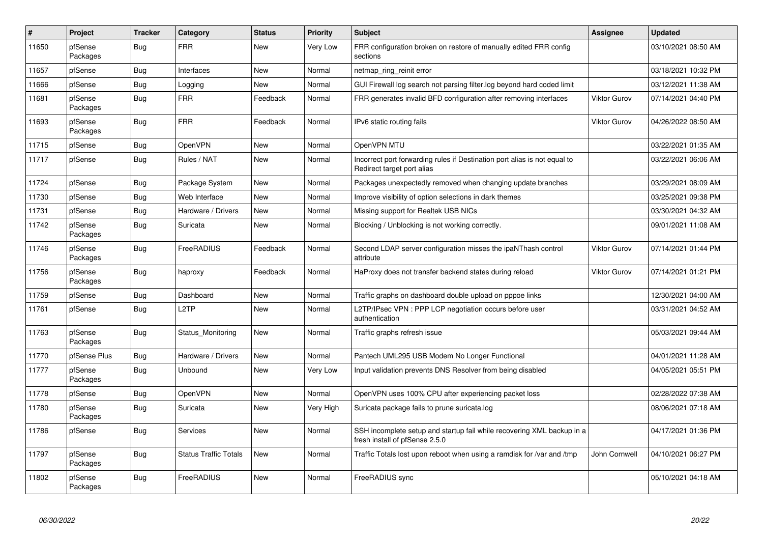| $\vert$ # | Project             | <b>Tracker</b> | Category                     | <b>Status</b> | <b>Priority</b> | <b>Subject</b>                                                                                           | <b>Assignee</b>     | <b>Updated</b>      |
|-----------|---------------------|----------------|------------------------------|---------------|-----------------|----------------------------------------------------------------------------------------------------------|---------------------|---------------------|
| 11650     | pfSense<br>Packages | <b>Bug</b>     | <b>FRR</b>                   | <b>New</b>    | Very Low        | FRR configuration broken on restore of manually edited FRR config<br>sections                            |                     | 03/10/2021 08:50 AM |
| 11657     | pfSense             | Bug            | Interfaces                   | New           | Normal          | netmap_ring_reinit error                                                                                 |                     | 03/18/2021 10:32 PM |
| 11666     | pfSense             | Bug            | Logging                      | <b>New</b>    | Normal          | GUI Firewall log search not parsing filter.log beyond hard coded limit                                   |                     | 03/12/2021 11:38 AM |
| 11681     | pfSense<br>Packages | Bug            | <b>FRR</b>                   | Feedback      | Normal          | FRR generates invalid BFD configuration after removing interfaces                                        | <b>Viktor Gurov</b> | 07/14/2021 04:40 PM |
| 11693     | pfSense<br>Packages | <b>Bug</b>     | <b>FRR</b>                   | Feedback      | Normal          | IPv6 static routing fails                                                                                | Viktor Gurov        | 04/26/2022 08:50 AM |
| 11715     | pfSense             | <b>Bug</b>     | <b>OpenVPN</b>               | <b>New</b>    | Normal          | OpenVPN MTU                                                                                              |                     | 03/22/2021 01:35 AM |
| 11717     | pfSense             | <b>Bug</b>     | Rules / NAT                  | New           | Normal          | Incorrect port forwarding rules if Destination port alias is not equal to<br>Redirect target port alias  |                     | 03/22/2021 06:06 AM |
| 11724     | pfSense             | <b>Bug</b>     | Package System               | New           | Normal          | Packages unexpectedly removed when changing update branches                                              |                     | 03/29/2021 08:09 AM |
| 11730     | pfSense             | <b>Bug</b>     | Web Interface                | <b>New</b>    | Normal          | Improve visibility of option selections in dark themes                                                   |                     | 03/25/2021 09:38 PM |
| 11731     | pfSense             | Bug            | Hardware / Drivers           | New           | Normal          | Missing support for Realtek USB NICs                                                                     |                     | 03/30/2021 04:32 AM |
| 11742     | pfSense<br>Packages | <b>Bug</b>     | Suricata                     | <b>New</b>    | Normal          | Blocking / Unblocking is not working correctly.                                                          |                     | 09/01/2021 11:08 AM |
| 11746     | pfSense<br>Packages | Bug            | FreeRADIUS                   | Feedback      | Normal          | Second LDAP server configuration misses the ipaNThash control<br>attribute                               | <b>Viktor Gurov</b> | 07/14/2021 01:44 PM |
| 11756     | pfSense<br>Packages | Bug            | haproxy                      | Feedback      | Normal          | HaProxy does not transfer backend states during reload                                                   | Viktor Gurov        | 07/14/2021 01:21 PM |
| 11759     | pfSense             | <b>Bug</b>     | Dashboard                    | <b>New</b>    | Normal          | Traffic graphs on dashboard double upload on pppoe links                                                 |                     | 12/30/2021 04:00 AM |
| 11761     | pfSense             | <b>Bug</b>     | L <sub>2</sub> TP            | <b>New</b>    | Normal          | L2TP/IPsec VPN : PPP LCP negotiation occurs before user<br>authentication                                |                     | 03/31/2021 04:52 AM |
| 11763     | pfSense<br>Packages | <b>Bug</b>     | Status_Monitoring            | <b>New</b>    | Normal          | Traffic graphs refresh issue                                                                             |                     | 05/03/2021 09:44 AM |
| 11770     | pfSense Plus        | <b>Bug</b>     | Hardware / Drivers           | New           | Normal          | Pantech UML295 USB Modem No Longer Functional                                                            |                     | 04/01/2021 11:28 AM |
| 11777     | pfSense<br>Packages | Bug            | Unbound                      | New           | Very Low        | Input validation prevents DNS Resolver from being disabled                                               |                     | 04/05/2021 05:51 PM |
| 11778     | pfSense             | Bug            | <b>OpenVPN</b>               | <b>New</b>    | Normal          | OpenVPN uses 100% CPU after experiencing packet loss                                                     |                     | 02/28/2022 07:38 AM |
| 11780     | pfSense<br>Packages | Bug            | Suricata                     | New           | Very High       | Suricata package fails to prune suricata.log                                                             |                     | 08/06/2021 07:18 AM |
| 11786     | pfSense             | <b>Bug</b>     | Services                     | <b>New</b>    | Normal          | SSH incomplete setup and startup fail while recovering XML backup in a<br>fresh install of pfSense 2.5.0 |                     | 04/17/2021 01:36 PM |
| 11797     | pfSense<br>Packages | <b>Bug</b>     | <b>Status Traffic Totals</b> | <b>New</b>    | Normal          | Traffic Totals lost upon reboot when using a ramdisk for /var and /tmp                                   | John Cornwell       | 04/10/2021 06:27 PM |
| 11802     | pfSense<br>Packages | <b>Bug</b>     | FreeRADIUS                   | <b>New</b>    | Normal          | FreeRADIUS sync                                                                                          |                     | 05/10/2021 04:18 AM |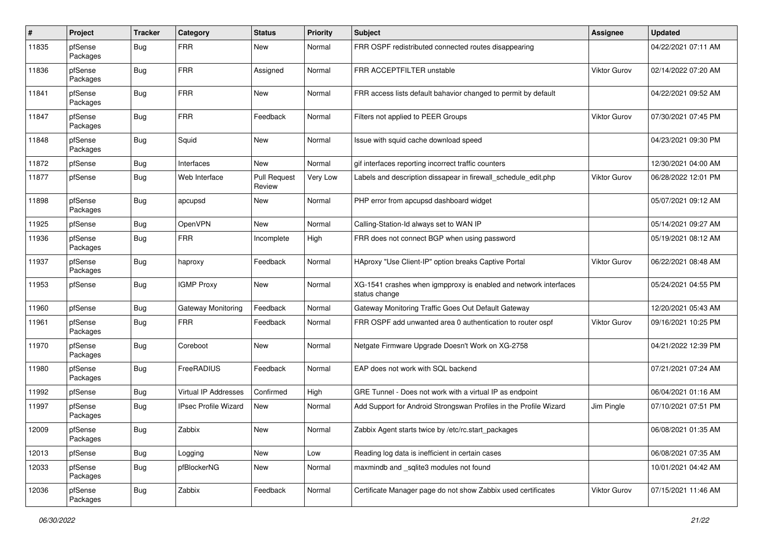| #     | Project             | <b>Tracker</b> | Category                    | <b>Status</b>                 | <b>Priority</b> | Subject                                                                           | Assignee            | <b>Updated</b>      |
|-------|---------------------|----------------|-----------------------------|-------------------------------|-----------------|-----------------------------------------------------------------------------------|---------------------|---------------------|
| 11835 | pfSense<br>Packages | Bug            | <b>FRR</b>                  | New                           | Normal          | FRR OSPF redistributed connected routes disappearing                              |                     | 04/22/2021 07:11 AM |
| 11836 | pfSense<br>Packages | Bug            | <b>FRR</b>                  | Assigned                      | Normal          | FRR ACCEPTFILTER unstable                                                         | Viktor Gurov        | 02/14/2022 07:20 AM |
| 11841 | pfSense<br>Packages | <b>Bug</b>     | <b>FRR</b>                  | New                           | Normal          | FRR access lists default bahavior changed to permit by default                    |                     | 04/22/2021 09:52 AM |
| 11847 | pfSense<br>Packages | Bug            | <b>FRR</b>                  | Feedback                      | Normal          | Filters not applied to PEER Groups                                                | Viktor Gurov        | 07/30/2021 07:45 PM |
| 11848 | pfSense<br>Packages | Bug            | Squid                       | New                           | Normal          | Issue with squid cache download speed                                             |                     | 04/23/2021 09:30 PM |
| 11872 | pfSense             | Bug            | Interfaces                  | New                           | Normal          | gif interfaces reporting incorrect traffic counters                               |                     | 12/30/2021 04:00 AM |
| 11877 | pfSense             | Bug            | Web Interface               | <b>Pull Request</b><br>Review | Very Low        | Labels and description dissapear in firewall schedule edit.php                    | <b>Viktor Gurov</b> | 06/28/2022 12:01 PM |
| 11898 | pfSense<br>Packages | Bug            | apcupsd                     | New                           | Normal          | PHP error from apcupsd dashboard widget                                           |                     | 05/07/2021 09:12 AM |
| 11925 | pfSense             | Bug            | OpenVPN                     | <b>New</b>                    | Normal          | Calling-Station-Id always set to WAN IP                                           |                     | 05/14/2021 09:27 AM |
| 11936 | pfSense<br>Packages | Bug            | <b>FRR</b>                  | Incomplete                    | High            | FRR does not connect BGP when using password                                      |                     | 05/19/2021 08:12 AM |
| 11937 | pfSense<br>Packages | <b>Bug</b>     | haproxy                     | Feedback                      | Normal          | HAproxy "Use Client-IP" option breaks Captive Portal                              | Viktor Gurov        | 06/22/2021 08:48 AM |
| 11953 | pfSense             | Bug            | <b>IGMP Proxy</b>           | New                           | Normal          | XG-1541 crashes when igmpproxy is enabled and network interfaces<br>status change |                     | 05/24/2021 04:55 PM |
| 11960 | pfSense             | Bug            | Gateway Monitoring          | Feedback                      | Normal          | Gateway Monitoring Traffic Goes Out Default Gateway                               |                     | 12/20/2021 05:43 AM |
| 11961 | pfSense<br>Packages | Bug            | <b>FRR</b>                  | Feedback                      | Normal          | FRR OSPF add unwanted area 0 authentication to router ospf                        | Viktor Gurov        | 09/16/2021 10:25 PM |
| 11970 | pfSense<br>Packages | Bug            | Coreboot                    | New                           | Normal          | Netgate Firmware Upgrade Doesn't Work on XG-2758                                  |                     | 04/21/2022 12:39 PM |
| 11980 | pfSense<br>Packages | Bug            | FreeRADIUS                  | Feedback                      | Normal          | EAP does not work with SQL backend                                                |                     | 07/21/2021 07:24 AM |
| 11992 | pfSense             | Bug            | <b>Virtual IP Addresses</b> | Confirmed                     | High            | GRE Tunnel - Does not work with a virtual IP as endpoint                          |                     | 06/04/2021 01:16 AM |
| 11997 | pfSense<br>Packages | Bug            | <b>IPsec Profile Wizard</b> | New                           | Normal          | Add Support for Android Strongswan Profiles in the Profile Wizard                 | Jim Pingle          | 07/10/2021 07:51 PM |
| 12009 | pfSense<br>Packages | Bug            | Zabbix                      | New                           | Normal          | Zabbix Agent starts twice by /etc/rc.start_packages                               |                     | 06/08/2021 01:35 AM |
| 12013 | pfSense             | <b>Bug</b>     | Logging                     | New                           | Low             | Reading log data is inefficient in certain cases                                  |                     | 06/08/2021 07:35 AM |
| 12033 | pfSense<br>Packages | <b>Bug</b>     | pfBlockerNG                 | New                           | Normal          | maxmindb and _sqlite3 modules not found                                           |                     | 10/01/2021 04:42 AM |
| 12036 | pfSense<br>Packages | <b>Bug</b>     | Zabbix                      | Feedback                      | Normal          | Certificate Manager page do not show Zabbix used certificates                     | Viktor Gurov        | 07/15/2021 11:46 AM |